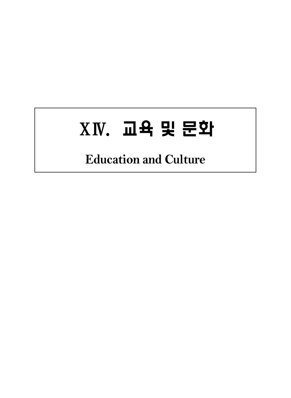# ⅩⅣ. 교육 및 문화

# **Education and Culture**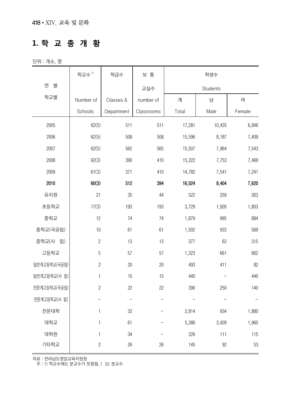#### **1. 학 교 총 개 황**

단위 : 개소, 명

|              | 학교수 <sup>1)</sup> | 학급수        | 보 통        |        | 학생수      |        |
|--------------|-------------------|------------|------------|--------|----------|--------|
| 연<br>별       |                   |            | 교실수        |        | Students |        |
| 학교별          | Number of         | Classes &  | number of  | 계      | 남        | 여      |
|              | Schools           | Department | Classrooms | Total  | Male     | Female |
| 2005         | 62(5)             | 511        | 511        | 17,281 | 10,435   | 6,846  |
| 2006         | 62(5)             | 508        | 508        | 15,596 | 8,187    | 7,409  |
| 2007         | 62(5)             | 562        | 565        | 15,507 | 7,964    | 7,543  |
| 2008         | 62(3)             | 390        | 410        | 15,222 | 7,753    | 7,469  |
| 2009         | 61(3)             | 371        | 410        | 14,782 | 7,541    | 7,241  |
| 2010         | 60(3)             | 512        | 394        | 16,024 | 8,404    | 7,620  |
| 유치원          | 21                | 35         | 44         | 522    | 259      | 263    |
| 초등학교         | 17(3)             | 193        | 193        | 3,729  | 1,926    | 1,803  |
| 중학교          | 12                | 74         | 74         | 1,879  | 995      | 884    |
| 중학교(국공립)     | $10$              | 61         | 61         | 1,502  | 933      | 569    |
| 중학교(사 립)     | $\overline{c}$    | 13         | 13         | 377    | 62       | 315    |
| 고등학교         | $\sqrt{5}$        | 57         | 57         | 1,323  | 661      | 662    |
| 일반계고등학교(국공립) | $\sqrt{2}$        | 20         | 20         | 493    | 411      | 82     |
| 일반계고등학교(사 립) | $\mathbf{1}$      | 15         | 15         | 440    |          | 440    |
| 전문계고등학교(국공립) | $\sqrt{2}$        | 22         | 22         | 390    | 250      | 140    |
| 전문계고등학교(사 립) |                   |            |            |        |          |        |
| 전문대학         | 1                 | 32         |            | 2,814  | 934      | 1,880  |
| 대학교          | 1                 | 61         |            | 5,386  | 3,426    | 1,960  |
| 대학원          | 1                 | 34         |            | 226    | 111      | 115    |
| 기타학교         | $\overline{c}$    | 26         | 26         | 145    | 92       | 53     |

자료 : 전라남도영암교육지원청

주 : 1) 학교수에는 분교수가 포함됨. ( )는 분교수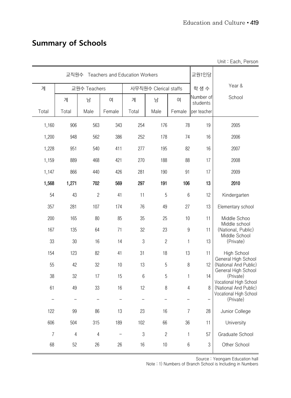# **Summary of Schools**

|                |                |                |                                       |                |                       |                  |                       | Unit: Each, Person                              |
|----------------|----------------|----------------|---------------------------------------|----------------|-----------------------|------------------|-----------------------|-------------------------------------------------|
|                | 교직원수           |                | <b>Teachers and Education Workers</b> |                |                       |                  | 교원1인당                 |                                                 |
| 계              |                | 교원수 Teachers   |                                       |                | 사무직원수 Clerical staffs |                  | 학생수                   | Year &                                          |
|                | 계              | 남              | 여                                     | 계              | 남                     | 여                | Number of<br>students | School                                          |
| Total          | Total          | Male           | Female                                | Total          | Male                  | Female           | per teacher           |                                                 |
| 1,160          | 906            | 563            | 343                                   | 254            | 176                   | 78               | 19                    | 2005                                            |
| 1,200          | 948            | 562            | 386                                   | 252            | 178                   | 74               | 16                    | 2006                                            |
| 1,228          | 951            | 540            | 411                                   | 277            | 195                   | 82               | 16                    | 2007                                            |
| 1,159          | 889            | 468            | 421                                   | 270            | 188                   | 88               | 17                    | 2008                                            |
| 1,147          | 866            | 440            | 426                                   | 281            | 190                   | 91               | 17                    | 2009                                            |
| 1,568          | 1,271          | 702            | 569                                   | 297            | 191                   | 106              | 13                    | 2010                                            |
| 54             | 43             | $\overline{c}$ | 41                                    | 11             | 5                     | $6\phantom{.}6$  | 12                    | Kindergarten                                    |
| 357            | 281            | 107            | 174                                   | 76             | 49                    | 27               | 13                    | Elementary school                               |
| 200            | 165            | 80             | 85                                    | 35             | 25                    | 10               | 11                    | Middle Schoo<br>Middle school                   |
| 167            | 135            | 64             | 71                                    | 32             | 23                    | $\boldsymbol{9}$ | 11                    | (National, Public)<br>Middle School             |
| 33             | 30             | 16             | 14                                    | 3              | $\overline{c}$        | 1                | 13                    | (Private)                                       |
| 154            | 123            | 82             | 41                                    | 31             | 18                    | 13               | 11                    | High School                                     |
| 55             | 42             | 32             | 10                                    | 13             | 5                     | $\, 8$           | 12                    | General High School<br>(National And Public)    |
| 38             | 32             | 17             | 15                                    | $6\,$          | $5\,$                 | $\mathbf{1}$     | 14                    | General High School<br>(Private)                |
| 61             | 49             | 33             | 16                                    | 12             | 8                     | $\sqrt{4}$       | 8                     | Vocational High School<br>(National And Public) |
|                |                |                |                                       |                |                       |                  |                       | Vocational High School<br>(Private)             |
| 122            | 99             | 86             | 13                                    | 23             | 16                    | $\overline{7}$   | 28                    | Junior College                                  |
| 606            | 504            | 315            | 189                                   | 102            | 66                    | 36               | 11                    | University                                      |
| $\overline{7}$ | $\overline{4}$ | $\sqrt{4}$     |                                       | $\mathfrak{B}$ | $\sqrt{2}$            | $\mathbf{1}$     | 57                    | Graduate School                                 |
| 68             | 52             | 26             | 26                                    | 16             | $10$                  | $6\,$            | $\sqrt{3}$            | Other School                                    |

Source : Yeongam Education hall

Note : 1) Numbers of Branch School is Including in Numbers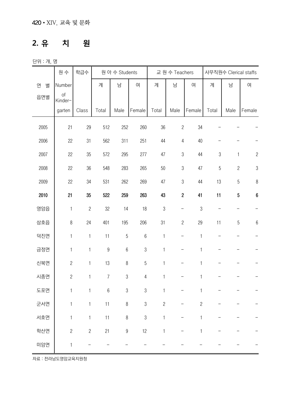#### **2. 유 치 원**

단위 : 개, 명

|        | 원 수                  | 학급수            |                  | 원 아 수 Students   |                  |                | 교 원 수 Teachers           |                | 사무직원수 Clerical staffs |                |                  |  |
|--------|----------------------|----------------|------------------|------------------|------------------|----------------|--------------------------|----------------|-----------------------|----------------|------------------|--|
| 연<br>별 | Number               |                | 계                | 남                | 여                | 계              | 남                        | 여              | 계                     | 남              | 여                |  |
| 읍면별    | $\circ f$<br>Kinder- |                |                  |                  |                  |                |                          |                |                       |                |                  |  |
|        | garten               | Class          | Total            | Male             | Female           | Total          | Male                     | Female         | Total                 | Male           | Female           |  |
| 2005   | 21                   | 29             | 512              | 252              | 260              | 36             | $\overline{c}$           | 34             |                       |                |                  |  |
| 2006   | 22                   | 31             | 562              | 311              | 251              | 44             | $\sqrt{4}$               | 40             |                       |                |                  |  |
| 2007   | 22                   | 35             | 572              | 295              | 277              | 47             | $\sqrt{3}$               | 44             | $\mathfrak 3$         | $\mathbf{1}$   | $\overline{c}$   |  |
| 2008   | 22                   | 36             | 548              | 283              | 265              | 50             | $\mathfrak{S}$           | $47\,$         | $\sqrt{5}$            | $\overline{c}$ | $\sqrt{3}$       |  |
| 2009   | 22                   | $34\,$         | 531              | 262              | 269              | 47             | $\mathfrak{S}$           | 44             | 13                    | 5              | $\, 8$           |  |
| 2010   | 21                   | 35             | 522              | 259              | 263              | 43             | $\overline{2}$           | 41             | 11                    | $\sqrt{5}$     | $\boldsymbol{6}$ |  |
| 영암읍    | $\mathbf{1}$         | $\sqrt{2}$     | 32               | 14               | 18               | $\sqrt{3}$     | -                        | $\sqrt{3}$     |                       |                |                  |  |
| 삼호읍    | $\, 8$               | 24             | 401              | 195              | 206              | 31             | $\mathbf{2}$             | 29             | 11                    | $\sqrt{5}$     | $\boldsymbol{6}$ |  |
| 덕진면    | 1                    | $\mathbf{1}$   | 11               | $\overline{5}$   | $\boldsymbol{6}$ | $\mathbbm{1}$  | <sup>-</sup>             | $\mathbf{1}$   |                       |                |                  |  |
| 금정면    | 1                    | 1              | $\boldsymbol{9}$ | $6\,$            | $\sqrt{3}$       | $\mathbf{1}$   | $\overline{\phantom{0}}$ | $\mathbf{1}$   |                       |                |                  |  |
| 신북면    | $\mathbf{2}$         | $\mathbf{1}$   | 13               | $\, 8$           | $\overline{5}$   | $\mathbf{1}$   | -                        | $\mathbf{1}$   |                       |                |                  |  |
| 시종면    | $\sqrt{2}$           | $\mathbf{1}$   | $\overline{7}$   | $\mathfrak 3$    | $\overline{4}$   | $\mathbf{1}$   | —                        | $\mathbf{1}$   |                       |                |                  |  |
| 도포면    | $\mathbf{1}$         | $\mathbf{1}$   | $6\,$            | $\mathfrak 3$    | $\mathfrak{B}$   | $\mathbf{1}$   | —                        | 1              |                       |                |                  |  |
| 군서면    | 1                    | 1              | 11               | $\, 8$           | $\sqrt{3}$       | $\overline{c}$ |                          | $\overline{c}$ |                       |                |                  |  |
| 서호면    | $\mathbf{1}$         | $\mathbf{1}$   | 11               | $\, 8$           | $\sqrt{3}$       | $\mathbf{1}$   |                          | 1              |                       |                |                  |  |
| 학산면    | $\overline{c}$       | $\overline{c}$ | 21               | $\boldsymbol{9}$ | 12               | $\mathbf{1}$   |                          | $\mathbf{1}$   |                       |                |                  |  |
| 미암면    | $\mathbf{1}$         |                |                  |                  |                  |                |                          |                |                       |                |                  |  |

자료 : 전라남도영암교육지원청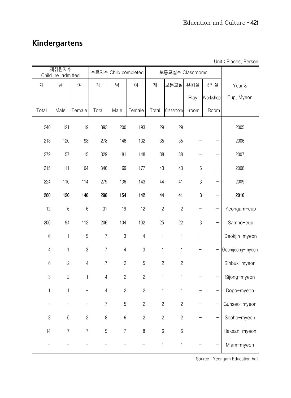# **Kindergartens**

|                  | 재취원자수                  |                  | 수료자수 Child completed |                |                |                | 보통교실수 Classrooms |                  |                   |                 |
|------------------|------------------------|------------------|----------------------|----------------|----------------|----------------|------------------|------------------|-------------------|-----------------|
| 계                | Child re-admitted<br>남 | 여                | 계                    | 남              | 여              | 계              | 보통교실             | 유희실              | 공작실               |                 |
|                  |                        |                  |                      |                |                |                |                  |                  |                   | Year &          |
|                  |                        |                  |                      |                |                |                |                  | Play             | Workshop          | Eup, Myeon      |
| Total            | Male                   | Female           | Total                | Male           | Female         | Total          | Classroom        | $-room$          | -Room             |                 |
| 240              | 121                    | 119              | 393                  | 200            | 193            | 29             | 29               |                  |                   | 2005            |
| 218              | 120                    | 98               | 278                  | 146            | 132            | 35             | 35               |                  |                   | 2006            |
| 272              | 157                    | 115              | 329                  | 181            | 148            | 38             | 38               |                  |                   | 2007            |
| 215              | 111                    | 104              | 346                  | 169            | 177            | 43             | 43               | $\,6\,$          |                   | 2008            |
| 224              | 110                    | 114              | 279                  | 136            | 143            | $44\,$         | 41               | $\sqrt{3}$       |                   | 2009            |
| 260              | 120                    | 140              | 296                  | 154            | 142            | 44             | 41               | $\boldsymbol{3}$ |                   | 2010            |
| 12               | $\,6\,$                | $6\,$            | 31                   | 19             | 12             | $\overline{c}$ | $\sqrt{2}$       |                  |                   | Yeongam-eup     |
| 206              | 94                     | 112              | 206                  | 104            | 102            | 25             | 22               | $\sqrt{3}$       | $\qquad \qquad -$ | Samho-eup       |
| $\boldsymbol{6}$ | $\mathbf{1}$           | $\sqrt{5}$       | $\overline{7}$       | $\mathfrak 3$  | $\overline{4}$ | 1              | $\mathbf{1}$     | <sup>-</sup>     |                   | Deokjin-myeon   |
| $\overline{4}$   | $\mathbf{1}$           | $\mathfrak 3$    | $\overline{7}$       | $\overline{4}$ | $\mathfrak 3$  | 1              | $\mathbf{1}$     |                  |                   | Geumjeong-myeon |
| $\boldsymbol{6}$ | $\sqrt{2}$             | $\sqrt{4}$       | $\overline{7}$       | $\overline{c}$ | 5              | $\overline{c}$ | $\overline{c}$   |                  |                   | Sinbuk-myeon    |
| $\mathfrak 3$    | $\overline{c}$         | $\mathbf{1}$     | $\overline{4}$       | $\mathbf{2}$   | $\overline{c}$ | $\mathbf{1}$   | $\mathbf 1$      |                  |                   | Sijong-myeon    |
| $\mathbf{1}$     | $\mathbf{1}$           |                  | $\overline{4}$       | $\sqrt{2}$     | $\overline{c}$ | $\mathbf{1}$   | $\mathbf{1}$     |                  |                   | Dopo-myeon      |
|                  |                        |                  | 7                    | 5              | $\overline{c}$ | $\overline{c}$ | $\mathbf{2}$     |                  |                   | Gunseo-myeon    |
| $\, 8$           | $6\,$                  | $\overline{c}$   | 8                    | 6              | $\overline{c}$ | $\overline{c}$ | $\mathbf{2}$     |                  |                   | Seoho-myeon     |
| 14               | $\overline{7}$         | $\boldsymbol{7}$ | 15                   | $\overline{7}$ | $\,8\,$        | $6\,$          | $\boldsymbol{6}$ |                  |                   | Haksan-myeon    |
|                  |                        |                  |                      |                |                | $\mathbf{1}$   | $\mathbf{1}$     |                  |                   | Miam-myeon      |

Unit : Places, Person

Source : Yeongam Education hall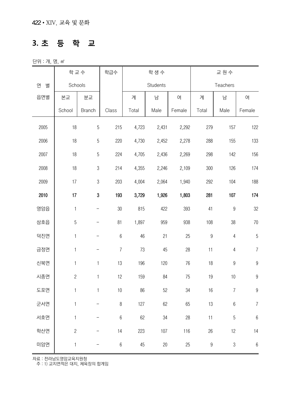#### **3. 초 등 학 교**

단위 : 개, 명, ㎡

|        | 학교수            |                          | 학급수            |        | 학생수      |        | 교원수              |                  |                  |  |
|--------|----------------|--------------------------|----------------|--------|----------|--------|------------------|------------------|------------------|--|
| 연<br>별 | Schools        |                          |                |        | Students |        |                  | Teachers         |                  |  |
| 읍면별    | 본교             | 분교                       |                | 계      | 남        | 여      | 계                | 남                | 여                |  |
|        | School         | <b>Branch</b>            | Class          | Total  | Male     | Female | Total            | Male             | Female           |  |
| 2005   | 18             | $\overline{5}$           | 215            | 4,723  | 2,431    | 2,292  | 279              | 157              | 122              |  |
| 2006   | $18$           | $\sqrt{5}$               | 220            | 4,730  | 2,452    | 2,278  | 288              | 155              | 133              |  |
| 2007   | 18             | 5                        | 224            | 4,705  | 2,436    | 2,269  | 298              | 142              | 156              |  |
| 2008   | 18             | $\,3$                    | 214            | 4,355  | 2,246    | 2,109  | 300              | 126              | 174              |  |
| 2009   | 17             | $\sqrt{3}$               | 203            | 4,004  | 2,064    | 1,940  | 292              | 104              | 188              |  |
| 2010   | 17             | $\bf{3}$                 | 193            | 3,729  | 1,926    | 1,803  | 281              | 107              | 174              |  |
| 영암읍    | $\mathbf{1}$   | $\qquad \qquad -$        | 30             | 815    | 422      | 393    | 41               | $\boldsymbol{9}$ | 32               |  |
| 삼호읍    | $\overline{5}$ | <sup>-</sup>             | 81             | 1,897  | 959      | 938    | 108              | 38               | $70$             |  |
| 덕진면    | $\mathbf{1}$   | —                        | $\,6$          | 46     | 21       | 25     | $\boldsymbol{9}$ | $\overline{4}$   | $\overline{5}$   |  |
| 금정면    | $\mathbf{1}$   | $\overline{\phantom{0}}$ | $\overline{7}$ | 73     | 45       | 28     | 11               | $\overline{4}$   | $\overline{7}$   |  |
| 신북면    | $\mathbf{1}$   | $\mathbf{1}$             | 13             | 196    | 120      | 76     | 18               | $\boldsymbol{9}$ | $\boldsymbol{9}$ |  |
| 시종면    | $\overline{c}$ | $\mathbf{1}$             | 12             | 159    | 84       | 75     | 19               | 10               | $\boldsymbol{9}$ |  |
| 도포면    | $\mathbf{1}$   | $\mathbf{1}$             | 10             | 86     | 52       | 34     | 16               | $\overline{I}$   | $\boldsymbol{9}$ |  |
| 군서면    | $\mathbf{1}$   |                          | $\, 8$         | 127    | 62       | 65     | 13               | $\,6$            | $\boldsymbol{7}$ |  |
| 서호면    | $\mathbf{1}$   |                          | $\,6\,$        | $62\,$ | 34       | 28     | 11               | $\overline{5}$   | $\boldsymbol{6}$ |  |
| 학산면    | $\overline{c}$ |                          | 14             | 223    | 107      | 116    | $26\,$           | 12               | 14               |  |
| 미암면    | $\mathbf{1}$   | $\qquad \qquad -$        | $\,6\,$        | $45\,$ | $20\,$   | 25     | $\boldsymbol{9}$ | $\sqrt{3}$       | $\,6\,$          |  |

자료 : 전라남도영암교육지원청

주 : 1) 교지면적은 대지, 체육장의 합계임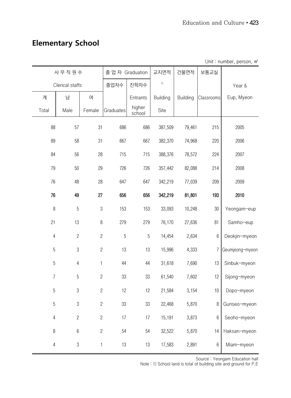# **Elementary School**

| Unit: number, person, m <sup>2</sup> |  |  |  |  |
|--------------------------------------|--|--|--|--|
|--------------------------------------|--|--|--|--|

|                | 사무직원수           |                | 졸업자 Graduation |                  | 교지면적            | 건물면적     | 보통교실       |                 |
|----------------|-----------------|----------------|----------------|------------------|-----------------|----------|------------|-----------------|
|                | Clerical staffs |                | 졸업자수           | 진학자수             | 1)              |          |            | Year &          |
| 계              | 남               | 여              |                | Entrants         | <b>Building</b> | Building | Classrooms | Eup, Myeon      |
| Total          | Male            | Female         | Graduates      | higher<br>school | Site            |          |            |                 |
| 88             | 57              | 31             | 686            | 686              | 387,509         | 79,461   | 215        | 2005            |
| 89             | 58              | 31             | 667            | 667              | 382,370         | 74,968   | 220        | 2006            |
| 84             | 56              | 28             | 715            | 715              | 388,376         | 78,572   | 224        | 2007            |
| 79             | 50              | 29             | 726            | 726              | 357,442         | 82,088   | 214        | 2008            |
| 76             | 48              | 28             | 647            | 647              | 342,219         | 77,039   | 209        | 2009            |
| 76             | 49              | 27             | 656            | 656              | 342,219         | 81,801   | 193        | 2010            |
| $\, 8$         | 5               | $\mathfrak 3$  | 153            | 153              | 33,093          | 10,248   | 30         | Yeongam-eup     |
| 21             | 13              | $\, 8$         | 279            | 279              | 76,170          | 27,636   | 81         | Samho-eup       |
| $\overline{4}$ | $\overline{c}$  | $\overline{c}$ | 5              | 5                | 14,454          | 2,634    | $6\,$      | Deokjin-myeon   |
| 5              | $\mathfrak 3$   | $\overline{c}$ | 13             | 13               | 15,996          | 4,333    | 7          | Geumjeong-myeon |
| 5              | $\overline{4}$  | $\mathbf{1}$   | 44             | 44               | 31,618          | 7,690    | 13         | Sinbuk-myeon    |
| $\overline{7}$ | 5               | $\overline{c}$ | 33             | 33               | 61,540          | 7,602    | 12         | Sijong-myeon    |
| 5              | $\sqrt{3}$      | $\overline{c}$ | 12             | 12               | 21,584          | 3,154    | 10         | Dopo-myeon      |
| 5              | $\sqrt{3}$      | $\sqrt{2}$     | 33             | 33               | 22,468          | 5,870    | 8          | Gunseo-myeon    |
| $\overline{4}$ | $\overline{c}$  | $\overline{c}$ | 17             | 17               | 15,191          | 3,873    | 6          | Seoho-myeon     |
| $\,8\,$        | $\,6\,$         | $\overline{c}$ | 54             | 54               | 32,522          | 5,870    | 14         | Haksan-myeon    |
| $\overline{4}$ | $\sqrt{3}$      | $\mathbf{1}$   | 13             | 13               | 17,583          | 2,891    | 6          | Miam-myeon      |

Source : Yeongam Education hall

Note : 1) School land is total of building site and ground for P.E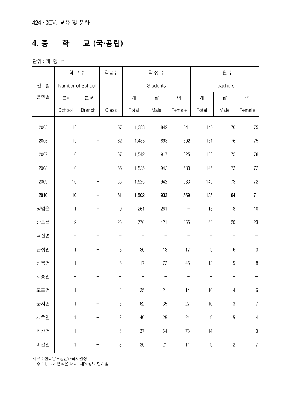#### **4. 중 학 교 (국·공립)**

단위 : 개, 명, ㎡

|        |                  | 학교수               | 학급수                       |        | 학생수      |        | 교원수              |                |                  |  |
|--------|------------------|-------------------|---------------------------|--------|----------|--------|------------------|----------------|------------------|--|
| 연<br>별 | Number of School |                   |                           |        | Students |        |                  | Teachers       |                  |  |
| 읍면별    | 본교               | 분교                |                           | 계      | 남        | 여      | 계                | 남              | 여                |  |
|        | School           | <b>Branch</b>     | Class                     | Total  | Male     | Female | Total            | Male           | Female           |  |
| 2005   | $10$             |                   | 57                        | 1,383  | 842      | 541    | 145              | 70             | 75               |  |
| 2006   | $10$             |                   | 62                        | 1,485  | 893      | 592    | 151              | 76             | 75               |  |
| 2007   | $10$             | $\qquad \qquad -$ | 67                        | 1,542  | 917      | 625    | 153              | 75             | 78               |  |
| 2008   | 10               |                   | 65                        | 1,525  | 942      | 583    | 145              | 73             | 72               |  |
| 2009   | $10$             |                   | 65                        | 1,525  | 942      | 583    | 145              | 73             | $72\,$           |  |
| 2010   | $10\,$           |                   | 61                        | 1,502  | 933      | 569    | 135              | 64             | 71               |  |
| 영암읍    | $\mathbf{1}$     |                   | $\overline{9}$            | 261    | 261      |        | 18               | $\, 8$         | $10$             |  |
| 삼호읍    | $\sqrt{2}$       |                   | 25                        | 776    | 421      | 355    | 43               | 20             | 23               |  |
| 덕진면    |                  |                   | $\qquad \qquad -$         |        |          |        |                  |                |                  |  |
| 금정면    | $\mathbf{1}$     |                   | $\mathfrak 3$             | $30\,$ | 13       | 17     | $\boldsymbol{9}$ | $6\,$          | $\sqrt{3}$       |  |
| 신북면    | $\mathbf{1}$     |                   | $\,6\,$                   | 117    | $72\,$   | 45     | 13               | $\mathbf 5$    | $\, 8$           |  |
| 시종면    |                  |                   |                           |        |          |        |                  |                |                  |  |
| 도포면    | $\mathbf{1}$     |                   | $\sqrt{3}$                | $35\,$ | 21       | 14     | 10               | $\sqrt{4}$     | $\boldsymbol{6}$ |  |
| 군서면    | $\mathbf{1}$     |                   | $\sqrt{3}$                | 62     | 35       | 27     | $10$             | $\mathfrak{Z}$ | $\boldsymbol{7}$ |  |
| 서호면    | $\mathbf{1}$     |                   | $\sqrt{3}$                | 49     | 25       | 24     | $\boldsymbol{9}$ | 5              | $\sqrt{4}$       |  |
| 학산면    | $\mathbf{1}$     |                   | $\,6\,$                   | 137    | 64       | 73     | 14               | 11             | $\sqrt{3}$       |  |
| 미암면    | $\mathbf{1}$     |                   | $\ensuremath{\mathbf{3}}$ | 35     | 21       | 14     | $\boldsymbol{9}$ | $\sqrt{2}$     | $\boldsymbol{7}$ |  |

자료 : 전라남도영암교육지원청

주 : 1) 교지면적은 대지, 체육장의 합계임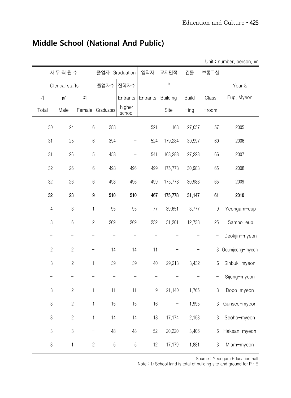|                |                 |                |            |                  |                  |                            |              |                          | Unit: number, person, m <sup>2</sup> |
|----------------|-----------------|----------------|------------|------------------|------------------|----------------------------|--------------|--------------------------|--------------------------------------|
|                | 사무직원수           |                |            | 졸업자 Graduation   | 입학자              | 교지면적                       | 건물           | 보통교실                     |                                      |
|                | Clerical staffs |                | 졸업자수       | 진학자수             |                  | $\left\vert \right\rangle$ |              |                          | Year &                               |
| 계              | 남               | 여              |            | Entrants         | Entrants         | <b>Building</b>            | <b>Build</b> | Class                    | Eup, Myeon                           |
| Total          | Male            | Female         | Graduates  | higher<br>school |                  | Site                       | $-$ ing      | $-room$                  |                                      |
| $30\,$         | 24              | $\,6\,$        | 388        |                  | 521              | 163                        | 27,057       | 57                       | 2005                                 |
| 31             | 25              | $6\,$          | 394        | -                | 524              | 179,284                    | 30,997       | 60                       | 2006                                 |
| 31             | 26              | $\sqrt{5}$     | 458        | —                | 541              | 163,288                    | 27,223       | 66                       | 2007                                 |
| 32             | 26              | $6\,$          | 498        | 496              | 499              | 175,778                    | 30,983       | 65                       | 2008                                 |
| 32             | 26              | $6\,$          | 498        | 496              | 499              | 175,778                    | 30,983       | 65                       | 2009                                 |
| 32             | 23              | 9              | 510        | 510              | 467              | 175,778                    | 31,147       | 61                       | 2010                                 |
| $\sqrt{4}$     | $\sqrt{3}$      | 1              | 95         | 95               | 77               | 39,651                     | 3,777        | $\boldsymbol{9}$         | Yeongam-eup                          |
| $\, 8$         | $6\,$           | $\mathbf{2}$   | 269        | 269              | 232              | 31,201                     | 12,738       | 25                       | Samho-eup                            |
|                |                 |                |            |                  |                  |                            |              |                          | Deokjin-myeon                        |
| $\overline{c}$ | $\sqrt{2}$      |                | 14         | 14               | 11               |                            |              | $\sqrt{3}$               | Geumjeong-myeon                      |
| $\mathfrak 3$  | $\overline{c}$  | $\mathbf{1}$   | 39         | 39               | 40               | 29,213                     | 3,432        | $6\,$                    | Sinbuk-myeon                         |
|                |                 |                |            |                  |                  |                            |              | $\overline{\phantom{0}}$ | Sijong-myeon                         |
| $\sqrt{3}$     | $\sqrt{2}$      | $\mathbf{1}$   | 11         | 11               | $\boldsymbol{9}$ | 21,140                     | 1,765        | $\sqrt{3}$               | Dopo-myeon                           |
| $\sqrt{3}$     | $\overline{c}$  | $\mathbf 1$    | 15         | 15               | 16               |                            | 1,995        | 3                        | Gunseo-myeon                         |
| $\mathfrak 3$  | $\overline{c}$  | $\mathbf{1}$   | 14         | 14               | $18$             | 17,174                     | 2,153        | $\mathfrak 3$            | Seoho-myeon                          |
| $\mathfrak 3$  | $\mathfrak{S}$  |                | 48         | 48               | 52               | 20,220                     | 3,406        | $6\,$                    | Haksan-myeon                         |
| $\mathfrak 3$  | $\mathbf{1}$    | $\overline{c}$ | $\sqrt{5}$ | $\sqrt{5}$       | 12               | 17,179                     | 1,881        | $\mathfrak 3$            | Miam-myeon                           |

## **Middle School (National And Public)**

Source : Yeongam Education hall

Note : 1) School land is total of building site and ground for  $P \cdot E$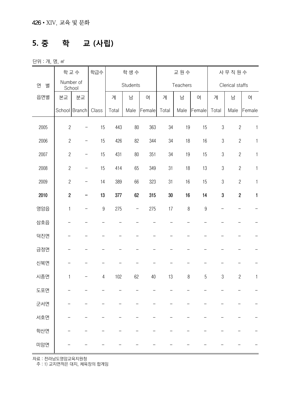#### **5. 중 학 교 (사립)**

단위 : 개, 명, ㎡

|        |                | 학교수                      | 학급수              | 학생수   |                   |        | 교원수    |          |                | 사무직원수          |                 |              |
|--------|----------------|--------------------------|------------------|-------|-------------------|--------|--------|----------|----------------|----------------|-----------------|--------------|
| 연<br>별 | School         | Number of                |                  |       | Students          |        |        | Teachers |                |                | Clerical staffs |              |
| 읍면별    | 본교             | 분교                       |                  | 계     | 남                 | 여      | 계      | 남        | 여              | 계              | 남               | 여            |
|        |                | School   Branch          | Class            | Total | Male              | Female | Total  | Male     | Female         | Total          | Male            | Female       |
| 2005   | $\overline{c}$ |                          | 15               | 443   | 80                | 363    | 34     | 19       | 15             | $\mathfrak 3$  | $\overline{c}$  | $\mathbf{1}$ |
| 2006   | $\overline{c}$ | $\qquad \qquad -$        | 15               | 426   | 82                | 344    | 34     | 18       | 16             | $\mathfrak 3$  | $\sqrt{2}$      | $\mathbf{1}$ |
| 2007   | $\overline{c}$ | $\overline{\phantom{0}}$ | 15               | 431   | 80                | 351    | 34     | 19       | 15             | $\sqrt{3}$     | $\overline{c}$  | $\mathbf{1}$ |
| 2008   | $\overline{c}$ | $\qquad \qquad -$        | 15               | 414   | 65                | 349    | 31     | 18       | 13             | $\mathfrak 3$  | $\overline{c}$  | $\mathbf{1}$ |
| 2009   | $\sqrt{2}$     | -                        | 14               | 389   | 66                | 323    | 31     | 16       | 15             | $\sqrt{3}$     | $\sqrt{2}$      | 1            |
| 2010   | $\sqrt{2}$     | -                        | 13               | 377   | 62                | 315    | $30\,$ | 16       | 14             | $\bf 3$        | $\sqrt{2}$      | 1            |
| 영암읍    | $\mathbf{1}$   |                          | $\boldsymbol{9}$ | 275   | $\qquad \qquad -$ | 275    | 17     | $\, 8$   | $\overline{9}$ |                |                 |              |
| 삼호읍    |                |                          |                  |       |                   |        |        |          |                |                |                 |              |
| 덕진면    |                |                          |                  |       |                   |        |        |          |                |                |                 |              |
| 금정면    |                |                          |                  |       |                   |        |        |          |                |                |                 |              |
| 신북면    |                |                          |                  |       |                   |        |        |          |                |                |                 |              |
| 시종면    | $\mathbf{1}$   |                          | $\overline{4}$   | 102   | 62                | 40     | 13     | $\, 8$   | 5              | $\mathfrak{S}$ | $\overline{c}$  | $\mathbf{1}$ |
| 도포면    |                |                          |                  |       |                   |        |        |          |                |                |                 |              |
| 군서면    |                |                          |                  |       |                   |        |        |          |                |                |                 |              |
| 서호면    |                |                          |                  |       |                   |        |        |          |                |                |                 |              |
| 학산면    |                |                          |                  |       |                   |        |        |          |                |                |                 |              |
| 미암면    |                |                          |                  |       |                   |        |        |          |                |                |                 |              |

자료 : 전라남도영암교육지원청

주 : 1) 교지면적은 대지, 체육장의 합계임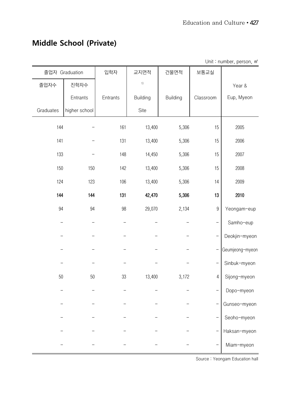|           |                |          |                 |                 |                  | Unit: number, person, m <sup>2</sup> |
|-----------|----------------|----------|-----------------|-----------------|------------------|--------------------------------------|
|           | 졸업자 Graduation | 입학자      | 교지면적            | 건물면적            | 보통교실             |                                      |
| 졸업자수      | 진학자수           |          | $1)$            |                 |                  | Year &                               |
|           | Entrants       | Entrants | <b>Building</b> | <b>Building</b> | Classroom        | Eup, Myeon                           |
| Graduates | higher school  |          | Site            |                 |                  |                                      |
| 144       |                | 161      | 13,400          | 5,306           | 15               | 2005                                 |
| 141       |                | 131      | 13,400          | 5,306           | 15               | 2006                                 |
| 133       |                | 148      | 14,450          | 5,306           | 15               | 2007                                 |
| 150       | 150            | 142      | 13,400          | 5,306           | 15               | 2008                                 |
| 124       | 123            | 106      | 13,400          | 5,306           | 14               | 2009                                 |
| 144       | 144            | 131      | 42,470          | 5,306           | 13               | 2010                                 |
| 94        | 94             | 98       | 29,070          | 2,134           | $\boldsymbol{9}$ | Yeongam-eup                          |
|           |                |          |                 |                 |                  | Samho-eup                            |
|           |                |          |                 |                 |                  | Deokjin-myeon                        |
|           |                |          |                 |                 |                  | Geumjeong-myeon                      |
|           |                |          |                 |                 |                  | Sinbuk-myeon                         |
| $50\,$    | $50\,$         | 33       | 13,400          | 3,172           | 4                | Sijong-myeon                         |
|           |                |          |                 |                 |                  | Dopo-myeon                           |
|           |                |          |                 |                 |                  | Gunseo-myeon                         |
|           |                |          |                 |                 |                  | Seoho-myeon                          |
|           |                |          |                 |                 |                  | Haksan-myeon                         |
|           |                |          |                 |                 |                  | Miam-myeon                           |

# **Middle School (Private)**

Source : Yeongam Education hall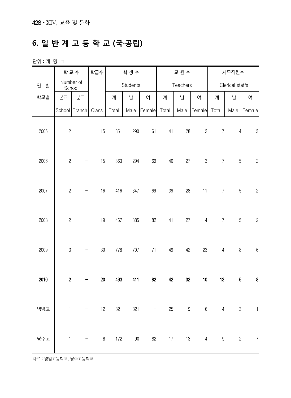#### **6. 일 반 계 고 등 학 교 (국·공립)**

단위 : 개, 명, ㎡

|        |                  | 학교수                      | 학급수    |       | 학생수      |        |        | 교원수      |        | 사무직원수          |                 |                                |
|--------|------------------|--------------------------|--------|-------|----------|--------|--------|----------|--------|----------------|-----------------|--------------------------------|
| 연<br>별 |                  | Number of<br>School      |        |       | Students |        |        | Teachers |        |                | Clerical staffs |                                |
| 학교별    | 본교               | 분교                       |        | 계     | 남        | 여      | 계      | 남        | 여      | 계              | 남               | 여                              |
|        |                  | School Branch            | Class  | Total | Male     | Female | Total  | Male     | Female | Total          | Male            | Female                         |
| 2005   | $\overline{c}$   |                          | 15     | 351   | 290      | 61     | 41     | 28       | 13     | $\overline{7}$ | $\overline{4}$  | $\sqrt{3}$                     |
| 2006   | $\overline{c}$   |                          | 15     | 363   | 294      | 69     | $40\,$ | 27       | 13     | $\overline{7}$ | $\sqrt{5}$      | $\sqrt{2}$                     |
| 2007   | $\overline{c}$   | -                        | 16     | 416   | 347      | 69     | $39\,$ | 28       | 11     | $\overline{7}$ | $\mathbf 5$     | $\sqrt{2}$                     |
| 2008   | $\overline{c}$   |                          | $19$   | 467   | 385      | 82     | 41     | 27       | 14     | $\overline{7}$ | $\sqrt{5}$      | $\overline{c}$                 |
| 2009   | $\mathfrak{Z}$   | $\overline{\phantom{0}}$ | $30\,$ | 778   | 707      | 71     | 49     | 42       | 23     | 14             | $\, 8$          | $\,6\,$                        |
| 2010   | $\boldsymbol{2}$ |                          | $20\,$ | 493   | 411      | 82     | 42     | 32       | $10\,$ | 13             | $\sqrt{5}$      | $\bf 8$                        |
| 영암고    |                  |                          |        |       |          |        |        |          |        |                |                 | 1 - 12 321 321 - 25 19 6 4 3 1 |
| 낭주고    | $\overline{1}$   |                          |        |       |          |        |        |          |        |                |                 | 8 172 90 82 17 13 4 9 2 7      |

자료 : 영암고등학교, 낭주고등학교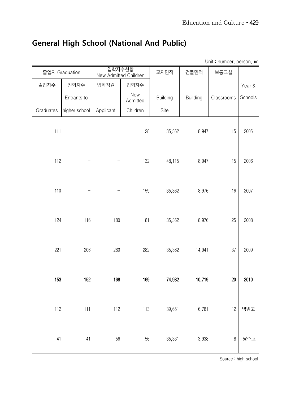#### **General High School (National And Public)**

Unit : number, person, ㎡ 졸업자 Graduation 입학자수현황 니 업익사구연왕 김 교지면적 건물면적 보통교실<br>New Admitted Children 교지면적 건물면적 보통교실 Year & Schools 졸업자수 진학자수 입학정원 입학자수 Entrants to **New**<br>Admitted Building Building Classrooms Graduates higher school Applicant | Children | Site 111 - - 128 35,362 8,947 15 2005 112 - - 132 48,115 8,947 15 2006 110 - - 159 35,362 8,976 16 2007 124 116 180 181 35,362 8,976 25 2008 221 206 280 282 35,362 14,941 37 2009 153 152 168 169 74,982 10,719 20 2010 112 111 112 113 39,651 6,781 12 영암고 41 41 56 56 35,331 3,938 8 낭주고

Source : high school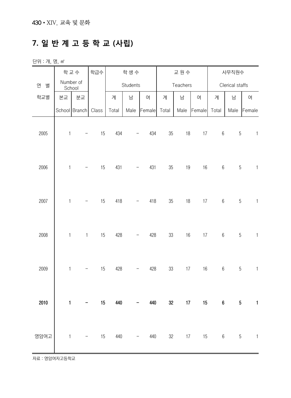# **7. 일 반 계 고 등 학 교 (사립)**

단위 : 개, 명, ㎡

|        | 학교수          |                          | 학급수   |       | 학생수                      |        |        | 교원수      |        |                       | 사무직원수           |              |  |
|--------|--------------|--------------------------|-------|-------|--------------------------|--------|--------|----------|--------|-----------------------|-----------------|--------------|--|
| 연<br>별 | School       | Number of                |       |       | Students                 |        |        | Teachers |        |                       | Clerical staffs |              |  |
| 학교별    | 본교           | 분교                       |       | 계     | 남                        | 여      | 계      | 남        | 여      | 계                     | 남               | 여            |  |
|        |              | School   Branch          | Class | Total | Male                     | Female | Total  | Male     | Female | Total                 | Male            | Female       |  |
| 2005   | $\mathbf{1}$ | $\qquad \qquad -$        | 15    | 434   |                          | 434    | 35     | 18       | 17     | $6\,$                 | $\sqrt{5}$      | $\mathbf{1}$ |  |
| 2006   | $\mathbf{1}$ |                          | 15    | 431   |                          | 431    | $35\,$ | $19$     | $16\,$ | $\,6\,$               | $\sqrt{5}$      | $\mathbf{1}$ |  |
| 2007   | $\mathbf{1}$ | -                        | 15    | 418   |                          | 418    | $35\,$ | $18$     | $17\,$ | $\boldsymbol{6}$      | $\sqrt{5}$      | $\mathbf{1}$ |  |
| 2008   | $\mathbf{1}$ | $\mathbf{1}$             | 15    | 428   |                          | 428    | 33     | 16       | $17\,$ | $\,6\,$               | $\overline{5}$  | $\mathbf{1}$ |  |
| 2009   | $\mathbf{1}$ | $\qquad \qquad -$        | 15    | 428   |                          | 428    | $33\,$ | 17       | $16\,$ | $6\,$                 | $\sqrt{5}$      | $\mathbf{1}$ |  |
| 2010   | $\mathbf{1}$ |                          | 15    | 440   |                          | 440    | 32     | 17       | 15     | $\boldsymbol{6}$      | $\sqrt{5}$      | $\mathbf{1}$ |  |
| 영암여고   | $\mathbf 1$  | $\overline{\phantom{a}}$ | 15    |       | 440<br>$\qquad \qquad -$ |        | 440    | 32       | 17     | 15<br>$6\overline{6}$ | $5\phantom{.0}$ | $\mathbf{1}$ |  |

자료 : 영암여자고등학교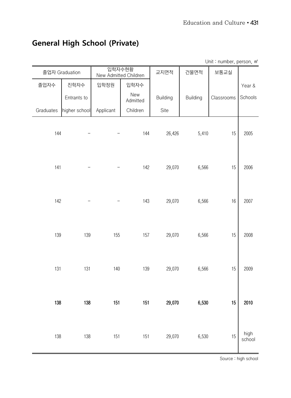#### **General High School (Private)**

졸업자 Graduation 입학자수현황 니일시구연왕 교지면적 건물면적 보통교실<br>New Admitted Children 고지면적 건물면적 보통교실 Year & Schools 졸업자수 진학자수 입학정원 입학자수 Entrants to **New**<br>Admitted Building Building Classrooms Graduates higher school Applicant | Children | Site 144 - - 144 26,426 5,410 15 2005 141 - - 142 29,070 6,566 15 2006 142 - - 143 29,070 6,566 16 2007 139 139 155 157 29,070 6,566 15 2008 131 131 140 139 29,070 6,566 15 2009 138 138 151 151 29,070 6,530 15 2010 138 138 151 151 29,070 6,530 15 high school

Unit : number, person, ㎡

Source : high school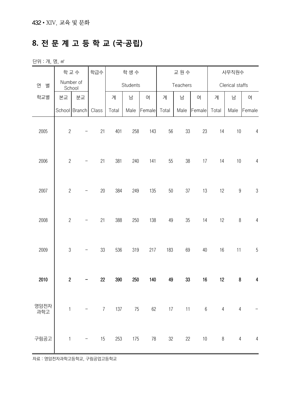### **8. 전 문 계 고 등 학 교 (국·공립)**

단위 : 개, 명, ㎡

|                       |                | 학교수                 | 학급수    |       | 학생수      |               | 교원수    |          |                             | 사무직원수 |                  |                                 |
|-----------------------|----------------|---------------------|--------|-------|----------|---------------|--------|----------|-----------------------------|-------|------------------|---------------------------------|
| 연<br>별                |                | Number of<br>School |        |       | Students |               |        | Teachers |                             |       | Clerical staffs  |                                 |
| 학교별                   | 본교             | 분교                  |        | 계     | 남        | 여             | 계      | 남        | 여                           | 계     | 남                | 여                               |
|                       |                | School Branch       | Class  | Total | Male     | Female        | Total  | Male     | Female                      | Total | Male             | Female                          |
| 2005                  | $\overline{c}$ |                     | 21     | 401   | 258      | 143           | 56     | 33       | 23                          | 14    | $10$             | $\overline{4}$                  |
| 2006                  | $\overline{2}$ |                     | 21     | 381   | 240      | 141           | 55     | 38       | 17                          | 14    | 10               | $\overline{4}$                  |
| 2007                  | $\overline{c}$ | -                   | $20\,$ | 384   | 249      | 135           | $50\,$ | 37       | 13                          | 12    | $\boldsymbol{9}$ | $\sqrt{3}$                      |
| 2008                  | $\overline{c}$ |                     | 21     | 388   | 250      | 138           | 49     | 35       | 14                          | 12    | $\, 8$           | $\overline{4}$                  |
| 2009                  | $\mathfrak{B}$ | -                   | 33     | 536   | 319      | 217           | 183    | 69       | $40\,$                      | 16    | 11               | $\mathbf 5$                     |
| 2010                  | $\sqrt{2}$     |                     | 22     | 390   | 250      | 140           | 49     | 33       | $16\,$                      | 12    | $\bf 8$          | 4                               |
| 영암전자<br>) 급드 .<br>과학고 |                |                     |        |       |          |               |        |          | 1 - 7 137 75 62 17 11 6 4 4 |       |                  | $\overline{a}$                  |
| 구림공고                  | $\mathbf 1$    |                     | 15     |       |          | 253 175 78 32 |        |          | 22                          |       |                  | $10 \qquad 8 \qquad 4 \qquad 4$ |

자료 : 영암전자과학고등학교, 구림공업고등학교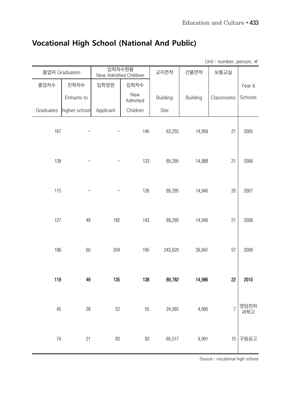# **Vocational High School (National And Public)**

Unit : number, person, m<sup>2</sup>

|           | 졸업자 Graduation | 입학자수현황<br>New Admitted Children |                 | 교지면적            | 건물면적            | 보통교실       |             |
|-----------|----------------|---------------------------------|-----------------|-----------------|-----------------|------------|-------------|
| 졸업자수      | 진학자수           | 입학정원                            | 입학자수            |                 |                 |            | Year &      |
|           | Entrants to    |                                 | New<br>Admitted | <b>Building</b> | <b>Building</b> | Classrooms | Schools     |
| Graduates | higher school  | Applicant                       | Children        | Site            |                 |            |             |
| 167       |                |                                 | 140             | 63,255          | 14,956          | 21         | 2005        |
| 139       |                |                                 | 133             | 89,295          | 14,888          | 21         | 2006        |
| 115       |                |                                 | 126             | 89,295          | 14,940          | 20         | 2007        |
| 127       | 49             | 182                             | 143             | 89,295          | 14,940          | 21         | 2008        |
| 186       | 60             | 204                             | 195             | 243,620         | 39,847          | 57         | 2009        |
| 119       | 49             | 135                             | 138             | 89,782          | 14,986          | 22         | 2010        |
| 45        | 28             | 52                              | 55              | 24,265          | 4,995           |            | 영암전자<br>과학고 |
| 74        | 21             | 83                              | 83              | 65,517          | 9,991           | 15         | 구림공고        |

Source : vocational high school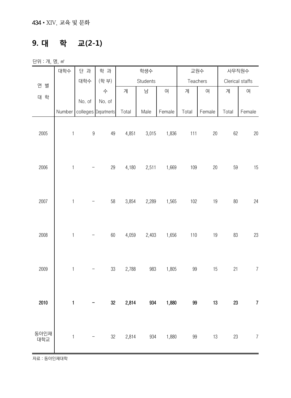#### **9. 대 학 교(2-1)**

단위 : 개, 명, ㎡

|             | 대학수                       | 단 과              | 학 과                  |       | 학생수      |        |        | 교원수      | 사무직원수           |                |
|-------------|---------------------------|------------------|----------------------|-------|----------|--------|--------|----------|-----------------|----------------|
| 연 별         |                           | 대학수              | (학부)                 |       | Students |        |        | Teachers | Clerical staffs |                |
|             |                           |                  | 수                    | 계     | 남        | 여      | 계      | 여        | 계               | 여              |
| 대 학         |                           | No. of           | No. of               |       |          |        |        |          |                 |                |
|             | Number                    |                  | colleges Departments | Total | Male     | Female | Total  | Female   | Total           | Female         |
| 2005        | $\mathbf{1}$              | $\boldsymbol{9}$ | 49                   | 4,851 | 3,015    | 1,836  | 111    | 20       | 62              | 20             |
| 2006        | $\mathbf{1}$              |                  | 29                   | 4,180 | 2,511    | 1,669  | 109    | 20       | 59              | 15             |
| 2007        | $\mathbf{1}$              |                  | 58                   | 3,854 | 2,289    | 1,565  | 102    | 19       | 80              | 24             |
| 2008        | $\mathbbm{1}$             |                  | 60                   | 4,059 | 2,403    | 1,656  | 110    | 19       | 83              | 23             |
| 2009        | $\mathbf 1$               |                  | 33                   | 2,788 | 983      | 1,805  | $99\,$ | 15       | 21              | $\overline{7}$ |
| 2010        | $\mathbf{1}$              |                  | 32                   | 2,814 | 934      | 1,880  | 99     | 13       | 23              | $\overline{7}$ |
| 동아인재<br>대학교 | $\ensuremath{\mathsf{1}}$ |                  | 32                   | 2,814 | 934      | 1,880  | 99     | 13       | 23              | $\overline{7}$ |

자료 : 동아인재대학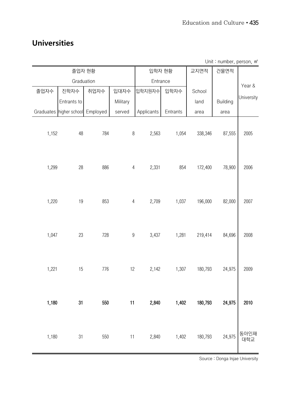#### **Universities**

|       | 졸업자 현황                           |      |                  | 입학자 현황     |          | 교지면적    | 건물면적     |             |
|-------|----------------------------------|------|------------------|------------|----------|---------|----------|-------------|
|       | Graduation                       |      |                  | Entrance   |          |         |          | Year &      |
| 졸업자수  | 진학자수                             | 취업자수 | 입대자수             | 입학지원자수     | 입학자수     | School  |          |             |
|       | Entrants to                      |      | Military         |            |          | land    | Building | University  |
|       | Graduates higher school Employed |      | served           | Applicants | Entrants | area    | area     |             |
| 1,152 | 48                               | 784  | $\, 8$           | 2,563      | 1,054    | 338,346 | 87,555   | 2005        |
| 1,299 | 28                               | 886  | $\overline{4}$   | 2,331      | 854      | 172,400 | 78,900   | 2006        |
| 1,220 | 19                               | 853  | $\overline{4}$   | 2,709      | 1,037    | 196,000 | 82,000   | 2007        |
| 1,047 | 23                               | 728  | $\boldsymbol{9}$ | 3,437      | 1,281    | 219,414 | 84,696   | 2008        |
| 1,221 | 15                               | 776  | 12               | 2,142      | 1,307    | 180,793 | 24,975   | 2009        |
| 1,180 | 31                               | 550  | 11               | 2,840      | 1,402    | 180,793 | 24,975   | 2010        |
| 1,180 | 31                               | 550  | 11               | 2,840      | 1,402    | 180,793 | 24,975   | 동아인재<br>대학교 |

Unit : number, person, ㎡

Source : Donga Injae University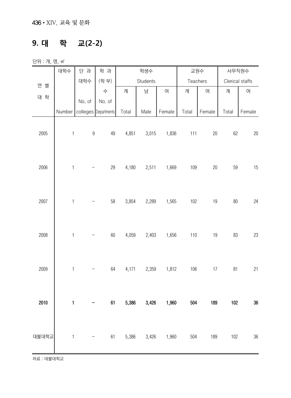#### **9. 대 학 교(2-2)**

단위 : 개, 명, ㎡

|       | 대학수          | 단 과              | 학 과                  |       | 학생수      |                   |       | 교원수      |                 | 사무직원수  |
|-------|--------------|------------------|----------------------|-------|----------|-------------------|-------|----------|-----------------|--------|
| 연 별   |              | 대학수              | (학 부)                |       | Students |                   |       | Teachers | Clerical staffs |        |
|       |              |                  | 수                    | 계     | 남        | 여                 | 계     | 여        | 계               | 여      |
| 대 학   |              | No. of           | No. of               |       |          |                   |       |          |                 |        |
|       | Number       |                  | colleges Departments | Total | Male     | Female            | Total | Female   | Total           | Female |
| 2005  | $\mathbf{1}$ | $\boldsymbol{9}$ | 49                   | 4,851 | 3,015    | 1,836             | 111   | $20\,$   | 62              | 20     |
| 2006  | $\mathbf 1$  |                  | 29                   | 4,180 | 2,511    | 1,669             | 109   | 20       | 59              | 15     |
| 2007  | $\mathbf{1}$ |                  | 58                   | 3,854 | 2,289    | 1,565             | 102   | 19       | $80\,$          | 24     |
| 2008  | $\mathbf{1}$ |                  | 60                   | 4,059 | 2,403    | 1,656             | $110$ | 19       | 83              | 23     |
| 2009  | $\mathbf{1}$ |                  | 64                   | 4,171 | 2,359    | 1,812             | 106   | $17\,$   | 81              | 21     |
| 2010  | $\mathbf{1}$ |                  | 61                   | 5,386 | 3,426    | 1,960             | 504   | 189      | 102             | 36     |
| 대불대학교 | $\mathbf{1}$ |                  | 61                   |       |          | 5,386 3,426 1,960 | 504   | 189      | 102             | 36     |

자료 : 대불대학교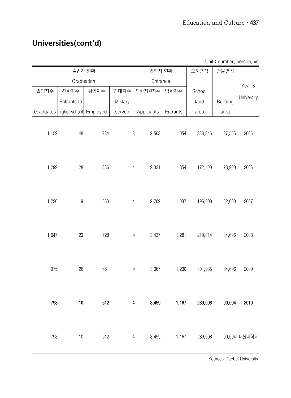#### **Universities(cont'd)**

|       | 졸업자 현황                           |      |                  | 입학자 현황     |          | 교지면적    | onne annou, poroun, m<br>건물면적 |              |
|-------|----------------------------------|------|------------------|------------|----------|---------|-------------------------------|--------------|
|       | Graduation                       |      |                  | Entrance   |          |         |                               | Year &       |
| 졸업자수  | 진학자수                             | 취업자수 | 입대자수             | 입학지원자수     | 입학자수     | School  |                               |              |
|       | Entrants to                      |      | Military         |            |          | land    | <b>Building</b>               | University   |
|       | Graduates higher school Employed |      | served           | Applicants | Entrants | area    | area                          |              |
| 1,152 | 48                               | 784  | $\, 8$           | 2,563      | 1,054    | 338,346 | 87,555                        | 2005         |
| 1,299 | 28                               | 886  | $\overline{4}$   | 2,331      | 854      | 172,400 | 78,900                        | 2006         |
| 1,220 | 19                               | 853  | $\overline{4}$   | 2,709      | 1,037    | 196,000 | 82,000                        | 2007         |
| 1,047 | 23                               | 728  | $\boldsymbol{9}$ | 3,437      | 1,281    | 219,414 | 84,696                        | 2008         |
| 975   | 26                               | 661  | $\boldsymbol{9}$ | 3,367      | 1,230    | 301,935 | 84,696                        | 2009         |
| 798   | 10                               | 512  | 4                | 3,459      | 1,167    | 289,008 | 90,094                        | 2010         |
| 798   | 10                               | 512  | 4                | 3,459      | 1,167    | 289,008 |                               | 90,094 대불대학교 |

Unit: number, person, m<sup>2</sup>

Source : Daebul University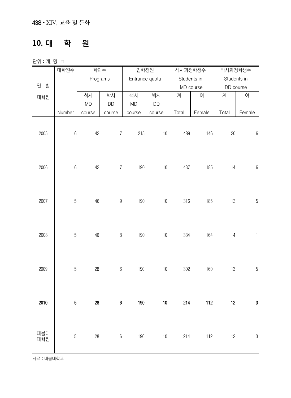#### **10. 대 학 원**

단위 : 개, 명, ㎡

|            | 대학원수             | 학과수       |                  | 입학정원          |                |       | 석사과정학생수     |             | 박사과정학생수      |
|------------|------------------|-----------|------------------|---------------|----------------|-------|-------------|-------------|--------------|
|            |                  | Programs  |                  |               | Entrance quota |       | Students in | Students in |              |
| 연<br>별     |                  |           |                  |               |                |       | MD course   | DD course   |              |
| 대학원        |                  | 석사        | 박사               | 석사            | 박사             | 계     | 여           | 계           | 여            |
|            |                  | <b>MD</b> | DD               | $\mathsf{MD}$ | DD             |       |             |             |              |
|            | Number           | course    | course           | course        | course         | Total | Female      | Total       | Female       |
| 2005       | $\,6\,$          | 42        | $\overline{7}$   | 215           | $10$           | 489   | 146         | 20          | $\,6\,$      |
| 2006       | $\boldsymbol{6}$ | 42        | $\overline{7}$   | 190           | $10$           | 437   | 185         | 14          | $\,6\,$      |
|            |                  |           |                  |               |                |       |             |             |              |
| 2007       | $\sqrt{5}$       | 46        | $\boldsymbol{9}$ | 190           | $10$           | 316   | 185         | 13          | $\sqrt{5}$   |
| 2008       | $5\,$            | $46\,$    | $\,8\,$          | 190           | $10\,$         | 334   | 164         | $\sqrt{4}$  | $\mathbf{1}$ |
| 2009       | $\sqrt{5}$       | 28        | $6\,$            | 190           | $10$           | 302   | 160         | 13          | $\sqrt{5}$   |
| 2010       | $\overline{5}$   | 28        | $\boldsymbol{6}$ | 190           | $10\,$         | 214   | 112         | 12          | $\bf 3$      |
| 대불대<br>대학원 | $\overline{5}$   | 28        | $6\,$            | 190           | $10$           | 214   | 112         | 12          | $\sqrt{3}$   |

자료 : 대불대학교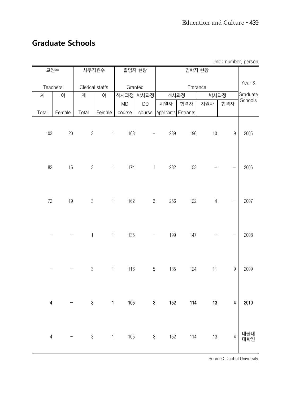#### **Graduate Schools**

| UTIIL · HUITINGI, PEISUIT |          |                |                 |              |                          |                     |          |                |                          |            |
|---------------------------|----------|----------------|-----------------|--------------|--------------------------|---------------------|----------|----------------|--------------------------|------------|
|                           | 교원수      |                | 사무직원수           |              | 졸업자 현황                   |                     | 입학자 현황   |                |                          |            |
|                           |          |                |                 |              |                          |                     |          |                |                          |            |
|                           | Teachers |                | Clerical staffs | Granted      |                          |                     | Entrance |                |                          | Year &     |
| 계                         | 여        | 계              | 여               |              | 석사과정 박사과정                | 석사과정                |          | 박사과정           |                          | Graduate   |
|                           |          |                |                 | MD           | <b>DD</b>                | 지원자                 | 합격자      | 지원자            | 합격자                      | Schools    |
| Total                     | Female   | Total          | Female          | course       | course                   | Applicants Entrants |          |                |                          |            |
|                           |          |                |                 |              |                          |                     |          |                |                          |            |
|                           |          |                |                 |              |                          |                     |          |                |                          |            |
| 103                       | $20\,$   | $3\,$          | $\mathbf{1}$    | 163          |                          | 239                 | 196      | $10$           | $\boldsymbol{9}$         | 2005       |
|                           |          |                |                 |              |                          |                     |          |                |                          |            |
|                           |          |                |                 |              |                          |                     |          |                |                          |            |
|                           |          |                |                 |              |                          |                     |          |                |                          |            |
| 82                        | $16\,$   | $3\,$          |                 | 174<br>$1 -$ | $\overline{1}$           | 232                 | 153      |                | $\overline{\phantom{0}}$ | 2006       |
|                           |          |                |                 |              |                          |                     |          |                |                          |            |
|                           |          |                |                 |              |                          |                     |          |                |                          |            |
|                           |          |                |                 |              |                          |                     |          |                |                          |            |
| $72\,$                    | $19$     | $\mathfrak{S}$ | $\mathbf{1}$    | 162          | $\sqrt{3}$               | 256                 | 122      | $\overline{4}$ | $\overline{\phantom{0}}$ | 2007       |
|                           |          |                |                 |              |                          |                     |          |                |                          |            |
|                           |          |                |                 |              |                          |                     |          |                |                          |            |
|                           |          |                |                 |              |                          |                     |          |                |                          |            |
|                           |          | $\mathbf{1}$   | $\mathbf{1}$    | 135          | $\overline{\phantom{a}}$ | 199                 | 147      |                |                          | 2008       |
|                           |          |                |                 |              |                          |                     |          |                |                          |            |
|                           |          |                |                 |              |                          |                     |          |                |                          |            |
|                           |          |                |                 |              |                          |                     |          |                |                          |            |
|                           |          | $\mathfrak{S}$ | $\mathbf{1}$    | 116          | $\sqrt{5}$               | 135                 | 124      | 11             | $\boldsymbol{9}$         | 2009       |
|                           |          |                |                 |              |                          |                     |          |                |                          |            |
|                           |          |                |                 |              |                          |                     |          |                |                          |            |
|                           |          |                |                 |              |                          |                     |          |                |                          |            |
| 4                         |          | 3              | $\mathbf{1}$    | 105          | $\mathbf{3}$             | 152                 | 114      | 13             | 4                        | 2010       |
|                           |          |                |                 |              |                          |                     |          |                |                          |            |
|                           |          |                |                 |              |                          |                     |          |                |                          |            |
|                           |          |                |                 |              |                          |                     |          |                |                          |            |
| $\sqrt{4}$                |          | $3\,$          | $\mathbf{1}$    | 105          | $\sqrt{3}$               | 152                 | 114      | 13             | $\overline{4}$           | 대불대<br>대학원 |
|                           |          |                |                 |              |                          |                     |          |                |                          |            |
|                           |          |                |                 |              |                          |                     |          |                |                          |            |

Unit : number, person

Source : Daebul University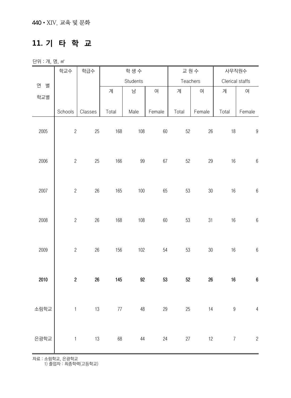#### **11. 기 타 학 교**

단위 : 개, 명, ㎡

|        | 학교수              | 학급수      | 학생수   |          |          | 교원수      |         | 사무직원수           |                         |  |
|--------|------------------|----------|-------|----------|----------|----------|---------|-----------------|-------------------------|--|
| 연<br>별 |                  |          |       | Students |          | Teachers |         | Clerical staffs |                         |  |
|        |                  |          | 계     | 남        | 여        | 계        | 여       | 계               | 여                       |  |
| 학교별    |                  |          |       |          |          |          |         |                 |                         |  |
|        | Schools          | Classes  | Total | Male     | Female   | Total    | Female  | Total           | Female                  |  |
| 2005   | $\overline{c}$   | $25\,$   | 168   | 108      | 60       | 52       | $26\,$  | 18              | $\boldsymbol{9}$        |  |
| 2006   | $\overline{c}$   | 25       | 166   | 99       | $67\,$   | 52       | 29      | 16              | $\,6\,$                 |  |
| 2007   | $\sqrt{2}$       | $26\,$   | 165   | 100      | 65       | 53       | $30\,$  | 16              | $\,6\,$                 |  |
| 2008   | $\overline{c}$   | $26\,$   | 168   | 108      | 60       | 53       | 31      | $16$            | $\,6\,$                 |  |
| 2009   | $\overline{c}$   | 26       | 156   | 102      | 54       | 53       | $30\,$  | $16$            | $\,6\,$                 |  |
| 2010   | $\boldsymbol{2}$ | $26\,$   | 145   | 92       | 53       | $52\,$   | $26\,$  | $16\,$          | $\boldsymbol{6}$        |  |
| 소림학교   |                  |          |       |          |          |          |         |                 | 1 13 77 48 29 25 14 9 4 |  |
| 은광학교   |                  | $1$ $13$ |       |          | 68 44 24 |          | 27 12 7 |                 | $\overline{c}$          |  |

자료 : 소림학교, 은광학교

1) 졸업자 : 최종학력(고등학교)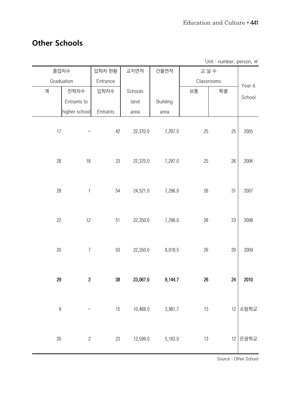#### **Other Schools**

Unit : number, person, m<sup>2</sup>

|                  | 졸업자수             | 입학자 현황   | 교지면적        | 건물면적            |        | 교실수        |         |
|------------------|------------------|----------|-------------|-----------------|--------|------------|---------|
|                  | Graduation       | Entrance |             |                 |        | Classrooms | Year &  |
| 계                | 진학자수             | 입학자수     | Schools     |                 | 보통     | 특별         |         |
|                  | Entrants to      |          | land        | <b>Building</b> |        |            | School  |
|                  | higher school    | Entrants | area        | area            |        |            |         |
| 17               |                  | 42       | 22,370.0    | 7,297.0         | 25     | 25         | 2005    |
| 28               | $18$             | 33       | 22,370.0    | 7,297.0         | 25     | 26         | 2006    |
| 28               | $\mathbf{1}$     | 54       | 24,521.0    | 7,296.0         | $26\,$ | 31         | 2007    |
| 22               | 12               | $51\,$   | 22,350.0    | 7,296.0         | $26\,$ | 23         | 2008    |
| $20\,$           | $\boldsymbol{7}$ | $50\,$   | 22,350.0    | 8,018.5         | $26\,$ | 29         | 2009    |
| 29               | $\boldsymbol{2}$ | 38       | 23,067.0    | 9,144.7         | $26\,$ | 24         | 2010    |
| $\boldsymbol{9}$ |                  |          | 15 10,468.0 | 3,981.7         | $13\,$ |            | 12 소림학교 |
| $20\,$           | $\overline{c}$   | 23       | 12,599.0    | 5,163.0         | $13\,$ |            | 12 은광학교 |

Source : Other School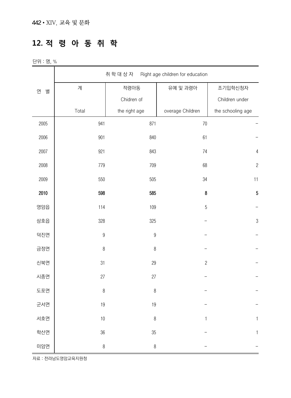#### **12. 적 령 아 동 취 학**

단위 : 명, %

|        |                  | 취학대상자 Right age children for education |                  |                   |
|--------|------------------|----------------------------------------|------------------|-------------------|
| 연<br>별 | 계                | 적령아동                                   | 유예 및 과령아         | 조기입학신청자           |
|        |                  | Chidren of                             |                  | Children under    |
|        | Total            | the right age                          | overage Children | the schooling age |
| 2005   | 941              | 871                                    | $70\,$           |                   |
| 2006   | 901              | 840                                    | 61               |                   |
| 2007   | 921              | 843                                    | 74               | $\sqrt{4}$        |
| 2008   | 779              | 709                                    | 68               | $\overline{c}$    |
| 2009   | 550              | 505                                    | $34\,$           | 11                |
| 2010   | 598              | 585                                    | 8                | $\overline{5}$    |
| 영암읍    | 114              | 109                                    | $\overline{5}$   |                   |
| 삼호읍    | 328              | 325                                    |                  | $\sqrt{3}$        |
| 덕진면    | $\boldsymbol{9}$ | $\boldsymbol{9}$                       |                  |                   |
| 금정면    | $\, 8$           | $\, 8$                                 |                  |                   |
| 신북면    | 31               | 29                                     | $\sqrt{2}$       |                   |
| 시종면    | 27               | 27                                     |                  |                   |
| 도포면    | $\, 8$           | $\, 8$                                 |                  |                   |
| 군서면    | 19               | $19$                                   |                  |                   |
| 서호면    | 10               | $\, 8$                                 | 1                | 1                 |
| 학산면    | 36               | $35\,$                                 |                  | $\mathbf{1}$      |
| 미암면    | $\, 8$           | $\, 8$                                 |                  |                   |

자료 : 전라남도영암교육지원청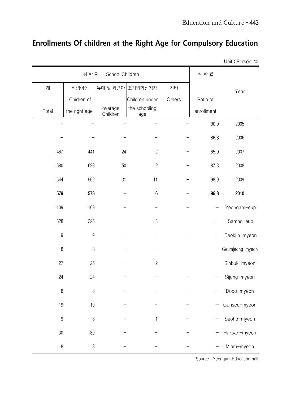# **Enrollments Of children at the Right Age for Compulsory Education**

Unit : Person, %

|                  | 취 학 자         | School Children     |                      |        | 취 학 률      |                 |
|------------------|---------------|---------------------|----------------------|--------|------------|-----------------|
| 계                | 적령아동          |                     | 유예 및 과령아 조기입학신청자     | 기타     |            | Year            |
|                  | Chidren of    |                     | Children under       | Others | Ratio of   |                 |
| Total            | the right age | overage<br>Children | the schooling<br>age |        | enrollment |                 |
|                  |               |                     |                      |        | 90.0       | 2005            |
|                  |               |                     |                      |        | 86.8       | 2006            |
| 467              | 441           | 24                  | $\overline{c}$       |        | 65.0       | 2007            |
| 680              | 628           | 50                  | $\overline{c}$       |        | 87.3       | 2008            |
| 544              | 502           | 31                  | 11                   |        | 98.9       | 2009            |
| 579              | 573           |                     | 6                    |        | 96.8       | 2010            |
| 109              | 109           |                     |                      |        |            | Yeongam-eup     |
| 328              | 325           |                     | $\sqrt{3}$           |        |            | Samho-eup       |
| $\boldsymbol{9}$ | $9\,$         |                     |                      |        |            | Deokjin-myeon   |
| $\, 8$           | $8\,$         |                     |                      |        |            | Geumjeong-myeon |
| 27               | 25            |                     | $\sqrt{2}$           |        |            | Sinbuk-myeon    |
| 24               | 24            |                     |                      |        |            | Sijong-myeon    |
| $\, 8$           | $\, 8$        |                     |                      |        |            | Dopo-myeon      |
| 19               | 19            |                     |                      |        |            | Gunseo-myeon    |
| $\boldsymbol{9}$ | $\, 8$        |                     | 1                    |        |            | Seoho-myeon     |
| $30\,$           | 30            |                     |                      |        |            | Haksan-myeon    |
| $\, 8$           | $\, 8$        |                     |                      |        |            | Miam-myeon      |

Source : Yeongam Education hall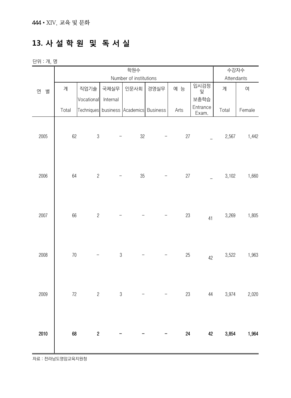# **13. 사 설 학 원 및 독 서 실**

| 단위 : 개, 명 |
|-----------|
|           |

|        |        | 수강자수           |               |                                        |      |      |           |            |        |
|--------|--------|----------------|---------------|----------------------------------------|------|------|-----------|------------|--------|
|        |        |                |               | Number of institutions                 |      |      |           | Attendants |        |
| 연<br>별 | 계      | 직업기술           | 국제실무          | 인문사회                                   | 경영실무 | 예 능  | 입시검정<br>및 | 계          | 여      |
|        |        | Vocational     | Internal      |                                        |      |      | 보충학습      |            |        |
|        | Total  |                |               | Techniques business Academics Business |      | Arts | Entrance  | Total      | Female |
|        |        |                |               |                                        |      |      | Exam.     |            |        |
|        |        |                |               |                                        |      |      |           |            |        |
| 2005   | 62     | $\sqrt{3}$     |               | $32\,$                                 |      | 27   |           | 2,567      | 1,442  |
|        |        |                |               |                                        |      |      |           |            |        |
|        |        |                |               |                                        |      |      |           |            |        |
|        |        |                |               |                                        |      |      |           |            |        |
| 2006   | 64     | $\overline{c}$ |               | 35                                     |      | 27   |           | 3,102      | 1,660  |
|        |        |                |               |                                        |      |      |           |            |        |
|        |        |                |               |                                        |      |      |           |            |        |
|        |        |                |               |                                        |      |      |           |            |        |
| 2007   | 66     | $\sqrt{2}$     |               |                                        |      | 23   | 41        | 3,269      | 1,805  |
|        |        |                |               |                                        |      |      |           |            |        |
|        |        |                |               |                                        |      |      |           |            |        |
|        |        |                |               |                                        |      |      |           |            |        |
| 2008   | $70$   |                | $\mathfrak 3$ |                                        |      | 25   | 42        | 3,522      | 1,963  |
|        |        |                |               |                                        |      |      |           |            |        |
|        |        |                |               |                                        |      |      |           |            |        |
|        |        |                |               |                                        |      |      |           |            |        |
| 2009   | $72\,$ | $\sqrt{2}$     | $\mathfrak 3$ |                                        |      | 23   | 44        | 3,974      | 2,020  |
|        |        |                |               |                                        |      |      |           |            |        |
|        |        |                |               |                                        |      |      |           |            |        |
|        |        |                |               |                                        |      |      |           |            |        |
| 2010   | 68     | $\sqrt{2}$     |               |                                        |      | 24   | 42        | 3,854      | 1,964  |
|        |        |                |               |                                        |      |      |           |            |        |
|        |        |                |               |                                        |      |      |           |            |        |

자료 : 전라남도영암교육지원청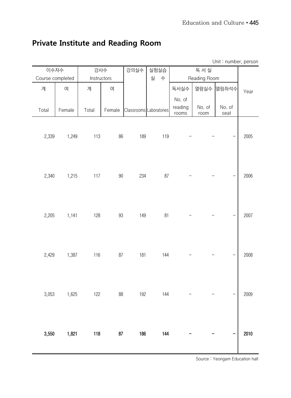# Unit : number, person 이수자수 <mark>강사수 강의실수 실험실습</mark> 독 서 실 Year Course completed Instructors 실 수 Reading Room 계 | 여 | 계 | 여 | | | | | 독서실수 |열람실수 |열림좌석수 No. of Total Female Total Female Classrooms Laboratories reading rooms No. of room No. of seat 2,339 1,249 113 86 189 119 - - - 2005 2,340 1,215 117 90 234 87 - - - 2006 2,205 1,141 128 93 149 81 - - - 2007 2,429 1,387 116 87 181 144 - - - 2008 3,053 1,625 122 88 192 144 - - - 2009 3,550 1,821 118 87 186 144 - - - 2010

#### **Private Institute and Reading Room**

Source : Yeongam Education hall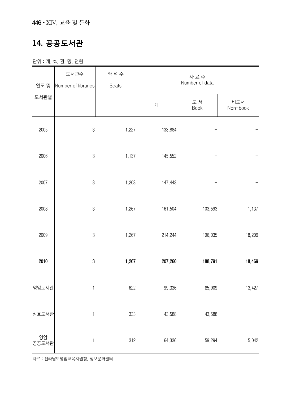#### **14. 공공도서관**

단위 : 개, %, 권, 명, 천원

| 연도 및            | 도서관수<br>Number of libraries | 좌 석 수<br>Seats | 자료수<br>Number of data |            |                 |  |  |
|-----------------|-----------------------------|----------------|-----------------------|------------|-----------------|--|--|
| 도서관별            |                             |                | 계                     | 도서<br>Book | 비도서<br>Non-book |  |  |
| 2005            | $\sqrt{3}$                  | 1,227          | 133,884               |            |                 |  |  |
| 2006            | $\sqrt{3}$                  | 1,137          | 145,552               |            |                 |  |  |
| 2007            | $\mathfrak{Z}$              | 1,203          | 147,443               |            |                 |  |  |
| 2008            | $\sqrt{3}$                  | 1,267          | 161,504               | 103,593    | 1,137           |  |  |
| 2009            | $\sqrt{3}$                  | 1,267          | 214,244               | 196,035    | 18,209          |  |  |
| 2010            | $\boldsymbol{3}$            | 1,267          | 207,260               | 188,791    | 18,469          |  |  |
| 영암도서관           | $\mathbf{1}$                | 622            | 99,336                | 85,909     | 13,427          |  |  |
| 삼호도서관           | $\mathbf{1}$                | 333            | 43,588                | 43,588     |                 |  |  |
| ___ 영암<br>공공도서관 | $\mathbf{1}$                | 312            | 64,336                | 59,294     | 5,042           |  |  |

자료 : 전라남도영암교육지원청, 정보문화센터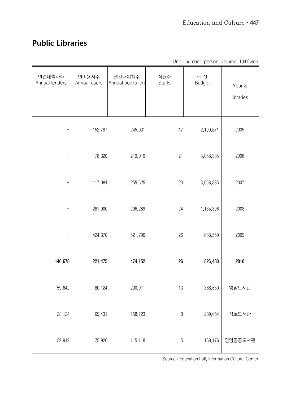#### **Public Libraries**

|                          |                       |                            |                      |                      | Unit: number, person, volume, 1,000 won |
|--------------------------|-----------------------|----------------------------|----------------------|----------------------|-----------------------------------------|
| 연간대출자수<br>Annual lenders | 연이용자수<br>Annual users | 연간대여책수<br>Annual books len | 직원수<br><b>Staffs</b> | 예 산<br><b>Budget</b> | Year &<br>libraries                     |
|                          | 152,787               | 245,031                    | 17                   | 2,190,871            | 2005                                    |
|                          | 178,320               | 219,010                    | 21                   | 3,058,335            | 2006                                    |
|                          | 117,084               | 255,525                    | 23                   | 3,058,335            | 2007                                    |
|                          | 281,900               | 296,289                    | 24                   | 1,165,396            | 2008                                    |
|                          | 424,370               | 521,796                    | $26\,$               | 888,559              | 2009                                    |
| 140,678                  | 221,475               | 474,152                    | 26                   | 826,480              | 2010                                    |
| 59,642                   | 80,124                | 200,911                    | 13                   | 368,650              | 영암도서관                                   |
| 28,124                   | 65,431                | 158,123                    | $\, 8$               | 289,654              | 삼호도서관                                   |
| 52,912                   | 75,920                | 115,118                    | $\sqrt{5}$           | 168,176              | 영암공공도서관                                 |

Source : Education hall, Information Cultural Center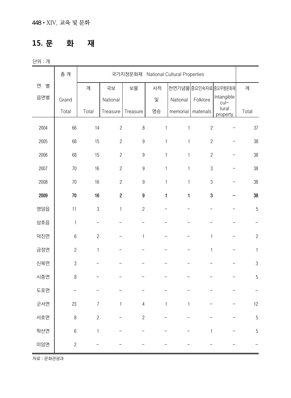#### **15. 문 화 재**

단위 : 개

|        | 총 계            |                | 국가지정문화재 National Cultural Properties |                  |              |                          |                      |                      |                |
|--------|----------------|----------------|--------------------------------------|------------------|--------------|--------------------------|----------------------|----------------------|----------------|
| 연<br>별 |                | 계              | 국보                                   | 보물               | 사적           |                          | 천연기념물 중요민속자료 중요무형문화재 |                      | 계              |
| 읍면별    | Grand          |                | National                             |                  | 및            | National                 | Folklore             | Intangible<br>$cu -$ |                |
|        | Total          | Total          | Treasure                             | Treasure         | 명승           | memorial                 | materials            | tural<br>property    | Total          |
| 2004   | 66             | 14             | $\overline{c}$                       | $\, 8$           | 1            | $\mathbf{1}$             | $\sqrt{2}$           |                      | 37             |
| 2005   | 68             | 15             | $\overline{c}$                       | $\boldsymbol{9}$ | $\mathbf{1}$ | $\mathbf{1}$             | $\overline{c}$       |                      | 38             |
| 2006   | 68             | 15             | $\overline{c}$                       | $\boldsymbol{9}$ | $\mathbf{1}$ | $\mathbf{1}$             | $\overline{c}$       |                      | 38             |
| 2007   | 70             | 16             | $\overline{c}$                       | $\boldsymbol{9}$ | $\mathbf{1}$ | $\mathbf{1}$             | $\sqrt{3}$           |                      | 38             |
| 2008   | 70             | 16             | $\sqrt{2}$                           | $\boldsymbol{9}$ | $\mathbf{1}$ | $\mathbf{1}$             | $\mathfrak 3$        |                      | 38             |
| 2009   | 70             | 16             | $\mathbf 2$                          | $\boldsymbol{9}$ | $\mathbf{1}$ | $\mathbf{1}$             | 3                    |                      | 38             |
| 영암읍    | 11             | $\sqrt{3}$     | $\mathbf{1}$                         | $\overline{c}$   |              |                          |                      |                      | 5              |
| 삼호읍    | $\mathbf{1}$   | -              |                                      |                  |              |                          |                      |                      |                |
| 덕진면    | $6\,$          | $\overline{c}$ |                                      | $\mathbf{1}$     |              | $\overline{\phantom{0}}$ | $\mathbf{1}$         |                      | $\sqrt{2}$     |
| 금정면    | $\overline{c}$ | $\mathbf{1}$   |                                      |                  |              |                          | $\mathbf{1}$         |                      | 1              |
| 신북면    | $\mathfrak 3$  |                |                                      |                  |              |                          |                      |                      | $\sqrt{3}$     |
| 시종면    | $\, 8$         |                |                                      |                  |              |                          |                      |                      | $\overline{5}$ |
| 도포면    |                |                |                                      |                  |              |                          |                      |                      |                |
| 군서면    | 23             | $\overline{7}$ | $\mathbf{1}$                         | $\sqrt{4}$       | $\mathbf{1}$ | $\mathbf{1}$             |                      |                      | 12             |
| 서호면    | $\, 8$         | $\overline{c}$ |                                      | $\overline{c}$   |              |                          |                      |                      | $\overline{5}$ |
| 학산면    | $\,6$          | $\mathbf{1}$   |                                      |                  |              |                          | 1                    |                      | 5              |
| 미암면    | $\overline{c}$ |                |                                      |                  |              |                          |                      |                      |                |

자료 : 문화관광과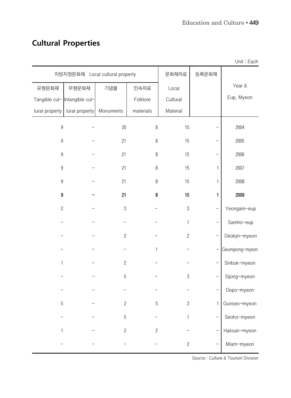# **Cultural Properties**

|                  |                                       |                         |                |              |              | UNII - Each     |
|------------------|---------------------------------------|-------------------------|----------------|--------------|--------------|-----------------|
|                  | 지방지정문화재 Local cultural property       |                         |                | 문화재자료        | 등록문화재        |                 |
| 유형문화재            | 무형문화재                                 | 기념물                     | 민속자료           | Local        |              | Year &          |
|                  | Tangible cul- Intangible cul-         |                         | Folklore       | Cultural     |              | Eup, Myeon      |
|                  | tural property $\vert$ tural property | Monuments               | materials      | Material     |              |                 |
| $\boldsymbol{9}$ |                                       | $20\,$                  | $\, 8$         | 15           |              | 2004            |
| $\boldsymbol{9}$ |                                       | 21                      | $\, 8$         | 15           |              | 2005            |
| $\boldsymbol{9}$ |                                       | 21                      | $\, 8$         | 15           |              | 2006            |
| $\boldsymbol{9}$ |                                       | 21                      | $\, 8$         | 15           | 1            | 2007            |
| $\boldsymbol{9}$ |                                       | 21                      | $\, 8$         | 15           | 1            | 2008            |
| 9                |                                       | 21                      | 8              | 15           | 1            | 2009            |
| $\overline{2}$   |                                       | $\boldsymbol{3}$        |                | $\sqrt{3}$   |              | Yeongam-eup     |
|                  |                                       |                         |                | $\mathbf{1}$ |              | Samho-eup       |
|                  |                                       | $\overline{c}$          |                | $\mathbf{2}$ |              | Deokjin-myeon   |
|                  |                                       |                         | 1              |              |              | Geumjeong-myeon |
| 1                |                                       | $\overline{c}$          |                |              |              | Sinbuk-myeon    |
|                  |                                       | 5                       |                | $\sqrt{3}$   |              | Sijong-myeon    |
|                  |                                       |                         |                |              |              | Dopo-myeon      |
| 5                |                                       | $\overline{\mathbf{c}}$ | 5              | 3            | $\mathbf{1}$ | Gunseo-myeon    |
|                  |                                       | $5\,$                   |                | 1            |              | Seoho-myeon     |
|                  |                                       | $\overline{c}$          | $\overline{c}$ |              |              | Haksan-myeon    |
|                  |                                       |                         |                | $\mathbf{2}$ |              | Miam-myeon      |

Unit : Each

Source : Culture & Tourism Division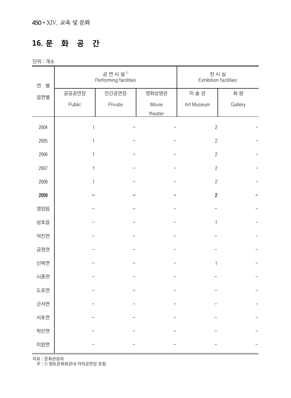# **16. 문 화 공 간**

단위 : 개소

| 연<br>별 |              | 공연시설 <sup>1)</sup><br>Performing facilities |         | 전 시 실<br><b>Exhibition facilities</b> |         |  |
|--------|--------------|---------------------------------------------|---------|---------------------------------------|---------|--|
| 읍면별    | 공공공연장        | 민간공연장                                       | 영화상영관   | 미술관                                   | 화 랑     |  |
|        | Public       | Private                                     | Movie   | Art Museum                            | Gallery |  |
|        |              |                                             | theater |                                       |         |  |
| 2004   | $\mathbf{1}$ |                                             |         | $\sqrt{2}$                            |         |  |
| 2005   | 1            |                                             |         | $\sqrt{2}$                            |         |  |
| 2006   | 1            |                                             |         | $\overline{c}$                        |         |  |
| 2007   | 1            |                                             |         | $\sqrt{2}$                            |         |  |
| 2008   | 1            |                                             |         | $\sqrt{2}$                            |         |  |
| 2009   |              |                                             |         | $\boldsymbol{2}$                      |         |  |
| 영암읍    |              |                                             |         |                                       |         |  |
| 삼호읍    |              |                                             |         | $\mathbf{1}$                          |         |  |
| 덕진면    |              |                                             |         |                                       |         |  |
| 금정면    |              |                                             |         |                                       |         |  |
| 신북면    |              |                                             |         | $\mathbf{1}$                          |         |  |
| 시종면    |              |                                             |         |                                       |         |  |
| 도포면    |              |                                             |         |                                       |         |  |
| 군서면    |              |                                             |         |                                       |         |  |
| 서호면    |              |                                             |         |                                       |         |  |
| 학산면    |              |                                             |         |                                       |         |  |
| 미암면    |              |                                             |         |                                       |         |  |

자료 : 문화관광과

주 : 1) 향토문화회관내 야외공연장 포함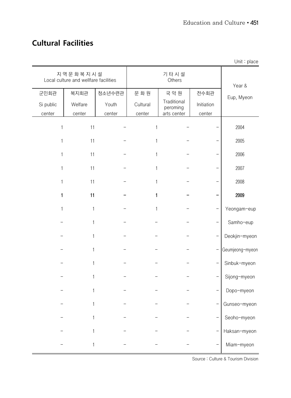#### **Cultural Facilities**

|              |                                                   |        |              |                         |            | Unit : place    |
|--------------|---------------------------------------------------|--------|--------------|-------------------------|------------|-----------------|
|              | 지역문화복지시설<br>Local culture and wellfare facilities |        |              | 기 타 시 설<br>Others       | Year &     |                 |
| 군민회관         | 복지회관                                              | 청소년수련관 | 문화원          | 국악원                     | 전수회관       | Eup, Myeon      |
| Si public    | Welfare                                           | Youth  | Cultural     | Traditional<br>peroming | Initiation |                 |
| center       | center                                            | center | center       | arts center             | center     |                 |
| $\mathbf{1}$ | 11                                                |        | 1            |                         |            | 2004            |
| 1            | 11                                                |        | $\mathbf{1}$ |                         |            | 2005            |
| $\mathbf{1}$ | 11                                                |        | 1            |                         |            | 2006            |
| $\mathbf{1}$ | 11                                                |        | $\mathbf{1}$ |                         |            | 2007            |
| 1            | 11                                                |        | $\mathbf{1}$ |                         |            | 2008            |
| $\mathbf{1}$ | 11                                                |        | $\mathbf{1}$ |                         |            | 2009            |
| $\mathbf{1}$ | $\mathbf{1}$                                      |        | 1            |                         |            | Yeongam-eup     |
|              | 1                                                 |        |              |                         |            | Samho-eup       |
|              | 1                                                 |        |              |                         |            | Deokjin-myeon   |
|              | 1                                                 |        |              |                         |            | Geumjeong-myeon |
|              | $\mathbf{1}$                                      |        |              |                         |            | Sinbuk-myeon    |
|              | 1                                                 |        |              |                         |            | Sijong-myeon    |
|              | 1                                                 |        |              |                         |            | Dopo-myeon      |
|              |                                                   |        |              |                         |            | Gunseo-myeon    |
|              |                                                   |        |              |                         |            | Seoho-myeon     |
|              |                                                   |        |              |                         |            | Haksan-myeon    |
|              | 1                                                 |        |              |                         |            | Miam-myeon      |

Source : Culture & Tourism Division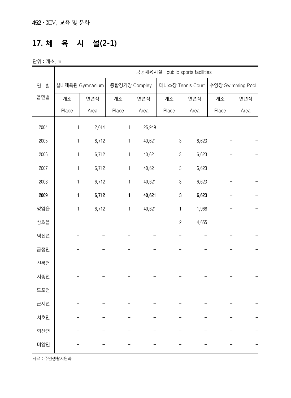### **17. 체 육 시 설(2-1)**

단위 : 개소, ㎡

|        |              |                 | public sports facilities<br>공공체육시설 |               |                           |                   |                   |      |  |  |
|--------|--------------|-----------------|------------------------------------|---------------|---------------------------|-------------------|-------------------|------|--|--|
| 연<br>별 |              | 실내체육관 Gymnasium |                                    | 종합경기장 Compley |                           | 테니스장 Tennis Court | 수영장 Swimming Pool |      |  |  |
| 읍면별    | 개소           | 연면적             | 개소                                 | 연면적           | 개소                        | 연면적               | 개소                | 연면적  |  |  |
|        | Place        | Area            | Place                              | Area          | Place                     | Area              | Place             | Area |  |  |
| 2004   | $\mathbf{1}$ | 2,014           | 1                                  | 26,949        |                           |                   |                   |      |  |  |
| 2005   | $\mathbf{1}$ | 6,712           | $\mathbf{1}$                       | 40,621        | $\sqrt{3}$                | 6,623             |                   |      |  |  |
| 2006   | $\mathbf{1}$ | 6,712           | $\mathbf{1}$                       | 40,621        | $\sqrt{3}$                | 6,623             |                   |      |  |  |
| 2007   | 1            | 6,712           | 1                                  | 40,621        | $\sqrt{3}$                | 6,623             |                   |      |  |  |
| 2008   | 1            | 6,712           | $\mathbf{1}$                       | 40,621        | $\ensuremath{\mathbf{3}}$ | 6,623             |                   |      |  |  |
| 2009   | 1            | 6,712           | 1                                  | 40,621        | $\bf 3$                   | 6,623             |                   |      |  |  |
| 영암읍    | $\mathbf{1}$ | 6,712           | $\mathbf{1}$                       | 40,621        | 1                         | 1,968             |                   |      |  |  |
| 삼호읍    |              |                 |                                    |               | $\sqrt{2}$                | 4,655             |                   |      |  |  |
| 덕진면    |              |                 |                                    |               |                           |                   |                   |      |  |  |
| 금정면    |              |                 |                                    |               |                           |                   |                   |      |  |  |
| 신북면    |              |                 |                                    |               |                           |                   |                   |      |  |  |
| 시종면    |              |                 |                                    |               |                           |                   |                   |      |  |  |
| 도포면    |              |                 |                                    |               |                           |                   |                   |      |  |  |
| 군서면    |              |                 |                                    |               |                           |                   |                   |      |  |  |
| 서호면    |              |                 |                                    |               |                           |                   |                   |      |  |  |
| 학산면    |              |                 |                                    |               |                           |                   |                   |      |  |  |
| 미암면    |              |                 |                                    |               |                           |                   |                   |      |  |  |

자료 : 주민생활지원과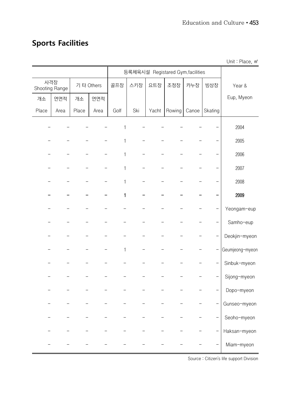#### **Sports Facilities**

등록체육시설 Registared Gym.facilities Year & Eup, Myeon 사격장 Shooting Range 기 타 Others | 골프장 | 스키장 | 요트장 | 조정장 | 카누장 | 빙상장 개소 | 연면적 | 개소 | 연면적 Place | Area | Place | Area | Golf | Ski | Yacht | Rowing | Canoe | Skating – – – – – 1 – – – – – – 2004 – – – – – 1 – – – – – – <mark>–</mark> 2005 – – – – – 1 – – – – – – <mark>–</mark> 2006 - - - - 1 - - - - - | 2007 - - - - - 1 - - - - - - 1 2008 - - - - 1 - - - - - 2009 - Yeongam-eup - - - - - - - - - - - - Samho-eup - - - - - - - Deokjin-myeon  $1 - - - - - - - - - - -$  Geumjeong-myeon - - - - - - - - - - Sinbuk-myeon - - - - - - - - Sijong-myeon - - Dopo-myeon  $-$  Gunseo-myeon - - - - - - - - - - Seoho-myeon - - Haksan-myeon - - - - - - - - - - - Hiam-myeon

Unit : Place, m<sup>2</sup>

Source : Citizen's life support Division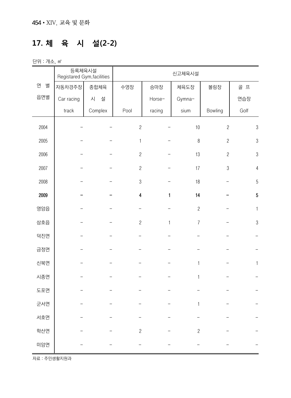# **17. 체 육 시 설(2-2)**

단위 : 개소, ㎡

|        | 등록체육시설<br>Registared Gym.facilities |         | 신고체육시설                  |              |                |                |                |  |
|--------|-------------------------------------|---------|-------------------------|--------------|----------------|----------------|----------------|--|
| 연<br>별 | 자동차경주장                              | 종합체육    | 수영장                     | 승마장          | 체육도장           | 볼링장            | 골 프            |  |
| 읍면별    | Car racing                          | 시<br>설  |                         | Horse-       | Gymna-         |                | 연습장            |  |
|        | track                               | Complex | Pool                    | racing       | sium           | Bowling        | Golf           |  |
| 2004   |                                     |         | $\overline{c}$          |              | 10             | $\overline{2}$ | $\sqrt{3}$     |  |
| 2005   |                                     |         | $\mathbf{1}$            |              | $\, 8$         | $\overline{2}$ | $\sqrt{3}$     |  |
| 2006   |                                     |         | $\overline{c}$          |              | 13             | $\overline{c}$ | $\sqrt{3}$     |  |
| 2007   |                                     |         | $\overline{c}$          |              | 17             | $\mathfrak{B}$ | $\overline{4}$ |  |
| 2008   |                                     |         | $\sqrt{3}$              |              | $18$           |                | $\sqrt{5}$     |  |
| 2009   |                                     |         | $\overline{\mathbf{4}}$ | $\mathbf{1}$ | 14             |                | $\sqrt{5}$     |  |
| 영암읍    |                                     |         |                         |              | $\overline{c}$ |                | $\mathbf{1}$   |  |
| 삼호읍    |                                     |         | $\overline{c}$          | 1            | $\overline{7}$ |                | $\sqrt{3}$     |  |
| 덕진면    |                                     |         |                         |              |                |                |                |  |
| 금정면    |                                     |         |                         |              |                |                |                |  |
| 신북면    |                                     |         |                         |              | $\mathbf{1}$   |                | $\mathbf{1}$   |  |
| 시종면    |                                     |         |                         |              | $\mathbf{1}$   |                |                |  |
| 도포면    |                                     |         |                         |              |                |                |                |  |
| 군서면    |                                     |         |                         |              | $\mathbf{1}$   |                |                |  |
| 서호면    |                                     |         |                         |              |                |                |                |  |
| 학산면    |                                     |         | $\overline{c}$          |              | $\overline{c}$ |                |                |  |
| 미암면    |                                     |         |                         |              |                |                |                |  |

자료 : 주민생활지원과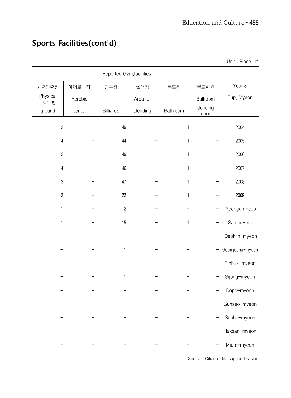|                      |         |                         |          |              |                   | Unit: Place. m <sup>2</sup> |
|----------------------|---------|-------------------------|----------|--------------|-------------------|-----------------------------|
|                      |         | Reported Gym.facilities |          |              |                   |                             |
| 체력단련장                | 에어로빅장   | 당구장                     | 썰매장      | 무도장          | 무도학원              | Year &                      |
| Physical<br>training | Aerobic |                         | Area for |              | Ballroom          | Eup, Myeon                  |
| ground               | center  | <b>Billiards</b>        | sledding | Ball room    | dencing<br>school |                             |
| 3                    |         | 49                      |          | $\mathbf 1$  |                   | 2004                        |
| $\overline{4}$       |         | 44                      |          | 1            |                   | 2005                        |
| 3                    |         | 49                      |          | $\mathbf{1}$ |                   | 2006                        |
| $\overline{4}$       |         | 46                      |          | $\mathbf{1}$ |                   | 2007                        |
| $\sqrt{3}$           |         | 47                      |          | 1            |                   | 2008                        |
| $\boldsymbol{2}$     |         | 22                      |          | 1            |                   | 2009                        |
| $\mathbf{1}$         |         | $\overline{c}$          |          |              |                   | Yeongam-eup                 |
| 1                    |         | 15                      |          | $\mathbf{1}$ |                   | Samho-eup                   |
|                      |         |                         |          |              |                   | Deokjin-myeon               |
|                      |         | 1                       |          |              | $\qquad \qquad -$ | Geumjeong-myeon             |
|                      |         | 1                       |          |              | —                 | Sinbuk-myeon                |
|                      |         | 1                       |          |              |                   | Sijong-myeon                |
|                      |         |                         |          |              |                   | Dopo-myeon                  |
|                      |         | 1                       |          |              |                   | Gunseo-myeon                |
|                      |         |                         |          |              | <sup>-</sup>      | Seoho-myeon                 |
|                      |         |                         |          |              | —                 | Haksan-myeon                |
|                      |         |                         |          |              |                   | Miam-myeon                  |

# **Sports Facilities(cont'd)**

Source : Citizen's life support Division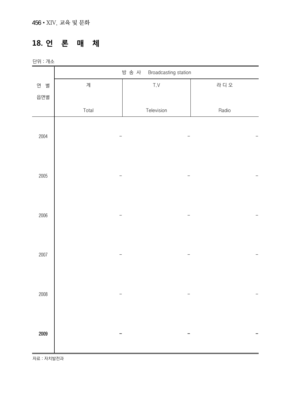#### **18. 언 론 매 체**

단위 : 개소

|      | Broadcasting station<br>방송 사 |                         |       |  |  |  |  |
|------|------------------------------|-------------------------|-------|--|--|--|--|
| 연 별  | 계                            | $\mathsf{T}.\mathsf{V}$ | 라 디 오 |  |  |  |  |
| 읍면별  |                              |                         |       |  |  |  |  |
|      | Total                        | Television              | Radio |  |  |  |  |
|      |                              |                         |       |  |  |  |  |
| 2004 |                              |                         |       |  |  |  |  |
|      |                              |                         |       |  |  |  |  |
|      |                              |                         |       |  |  |  |  |
| 2005 |                              |                         |       |  |  |  |  |
|      |                              |                         |       |  |  |  |  |
|      |                              |                         |       |  |  |  |  |
| 2006 |                              |                         |       |  |  |  |  |
|      |                              |                         |       |  |  |  |  |
|      |                              |                         |       |  |  |  |  |
| 2007 |                              |                         |       |  |  |  |  |
|      |                              |                         |       |  |  |  |  |
|      |                              |                         |       |  |  |  |  |
| 2008 |                              |                         |       |  |  |  |  |
|      |                              |                         |       |  |  |  |  |
|      |                              |                         |       |  |  |  |  |
| 2009 |                              |                         |       |  |  |  |  |
|      |                              |                         |       |  |  |  |  |

자료 : 자치발전과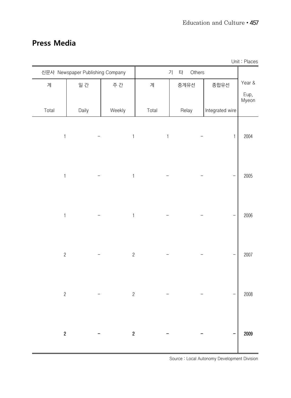#### **Press Media**

| Unit: Places  |                               |       |              |                                  |       |                  |
|---------------|-------------------------------|-------|--------------|----------------------------------|-------|------------------|
|               | $\overline{z}$<br>타<br>Others |       |              | 신문사 Newspaper Publishing Company |       |                  |
| Year &        | 종합유선                          | 중계유선  | 계            | 주 간                              | 일 간   | 계                |
| Eup,<br>Myeon |                               |       |              |                                  |       |                  |
|               | Integrated wire               | Relay | Total        | Weekly                           | Daily | Total            |
| 2004          | $\mathbf{1}$                  |       | $\mathbf{1}$ | $\mathbb{1}$                     |       | $\mathbf{1}$     |
| 2005          |                               |       |              | $\mathbf{1}$                     |       | $\mathbf{1}$     |
| 2006          |                               |       |              | $\mathbf{1}$                     |       | $\mathbf{1}$     |
| 2007          |                               |       |              | $\overline{c}$                   |       | $\overline{c}$   |
| 2008          |                               |       |              | $\mathbf{2}$                     |       | $\sqrt{2}$       |
| 2009          |                               |       |              | $\boldsymbol{2}$                 |       | $\boldsymbol{2}$ |

Source : Local Autonomy Development Division